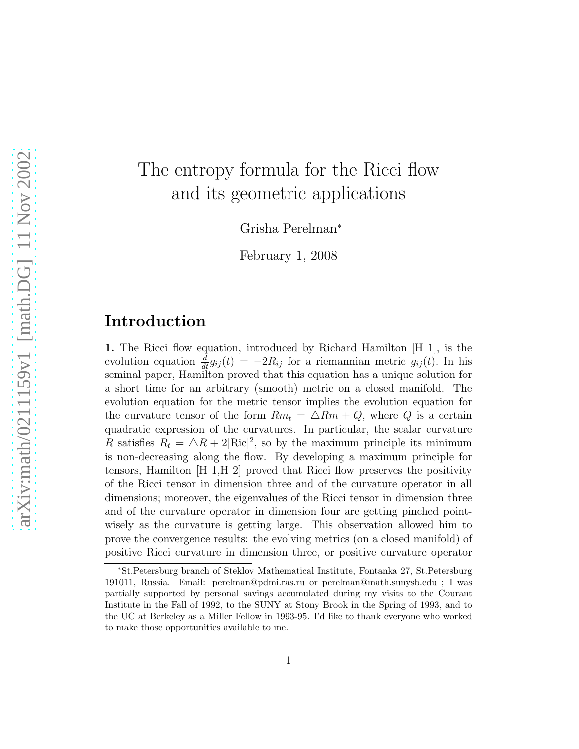# The entropy formula for the Ricci flow and its geometric applications

Grisha Perelman<sup>∗</sup>

February 1, 2008

### Introduction

1. The Ricci flow equation, introduced by Richard Hamilton [H 1], is the evolution equation  $\frac{d}{dt}g_{ij}(t) = -2R_{ij}$  for a riemannian metric  $g_{ij}(t)$ . In his seminal paper, Hamilton proved that this equation has a unique solution for a short time for an arbitrary (smooth) metric on a closed manifold. The evolution equation for the metric tensor implies the evolution equation for the curvature tensor of the form  $Rm_t = \Delta Rm + Q$ , where Q is a certain quadratic expression of the curvatures. In particular, the scalar curvature R satisfies  $R_t = \Delta R + 2|\text{Ric}|^2$ , so by the maximum principle its minimum is non-decreasing along the flow. By developing a maximum principle for tensors, Hamilton [H 1,H 2] proved that Ricci flow preserves the positivity of the Ricci tensor in dimension three and of the curvature operator in all dimensions; moreover, the eigenvalues of the Ricci tensor in dimension three and of the curvature operator in dimension four are getting pinched pointwisely as the curvature is getting large. This observation allowed him to prove the convergence results: the evolving metrics (on a closed manifold) of positive Ricci curvature in dimension three, or positive curvature operator

<sup>∗</sup>St.Petersburg branch of Steklov Mathematical Institute, Fontanka 27, St.Petersburg 191011, Russia. Email: perelman@pdmi.ras.ru or perelman@math.sunysb.edu ; I was partially supported by personal savings accumulated during my visits to the Courant Institute in the Fall of 1992, to the SUNY at Stony Brook in the Spring of 1993, and to the UC at Berkeley as a Miller Fellow in 1993-95. I'd like to thank everyone who worked to make those opportunities available to me.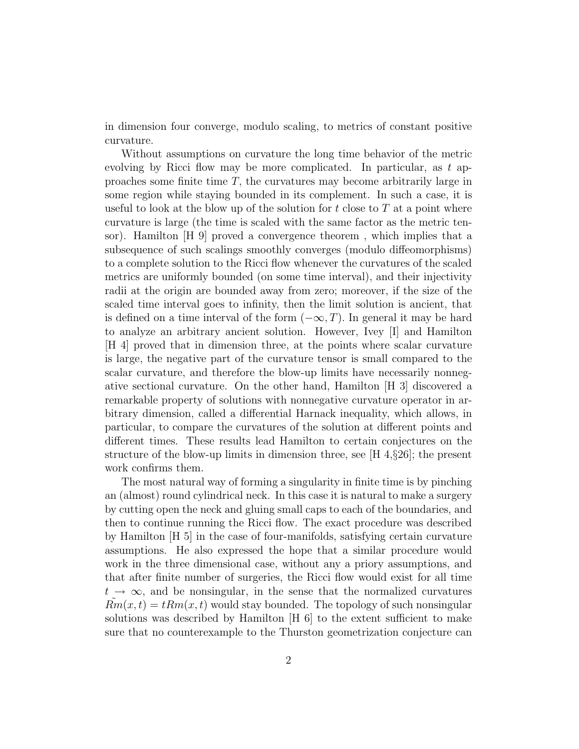in dimension four converge, modulo scaling, to metrics of constant positive curvature.

Without assumptions on curvature the long time behavior of the metric evolving by Ricci flow may be more complicated. In particular, as  $t$  approaches some finite time  $T$ , the curvatures may become arbitrarily large in some region while staying bounded in its complement. In such a case, it is useful to look at the blow up of the solution for t close to  $T$  at a point where curvature is large (the time is scaled with the same factor as the metric tensor). Hamilton [H 9] proved a convergence theorem , which implies that a subsequence of such scalings smoothly converges (modulo diffeomorphisms) to a complete solution to the Ricci flow whenever the curvatures of the scaled metrics are uniformly bounded (on some time interval), and their injectivity radii at the origin are bounded away from zero; moreover, if the size of the scaled time interval goes to infinity, then the limit solution is ancient, that is defined on a time interval of the form  $(-\infty, T)$ . In general it may be hard to analyze an arbitrary ancient solution. However, Ivey [I] and Hamilton [H 4] proved that in dimension three, at the points where scalar curvature is large, the negative part of the curvature tensor is small compared to the scalar curvature, and therefore the blow-up limits have necessarily nonnegative sectional curvature. On the other hand, Hamilton [H 3] discovered a remarkable property of solutions with nonnegative curvature operator in arbitrary dimension, called a differential Harnack inequality, which allows, in particular, to compare the curvatures of the solution at different points and different times. These results lead Hamilton to certain conjectures on the structure of the blow-up limits in dimension three, see [H 4,§26]; the present work confirms them.

The most natural way of forming a singularity in finite time is by pinching an (almost) round cylindrical neck. In this case it is natural to make a surgery by cutting open the neck and gluing small caps to each of the boundaries, and then to continue running the Ricci flow. The exact procedure was described by Hamilton [H 5] in the case of four-manifolds, satisfying certain curvature assumptions. He also expressed the hope that a similar procedure would work in the three dimensional case, without any a priory assumptions, and that after finite number of surgeries, the Ricci flow would exist for all time  $t \to \infty$ , and be nonsingular, in the sense that the normalized curvatures  $Rm(x, t) = tRm(x, t)$  would stay bounded. The topology of such nonsingular solutions was described by Hamilton  $[H 6]$  to the extent sufficient to make sure that no counterexample to the Thurston geometrization conjecture can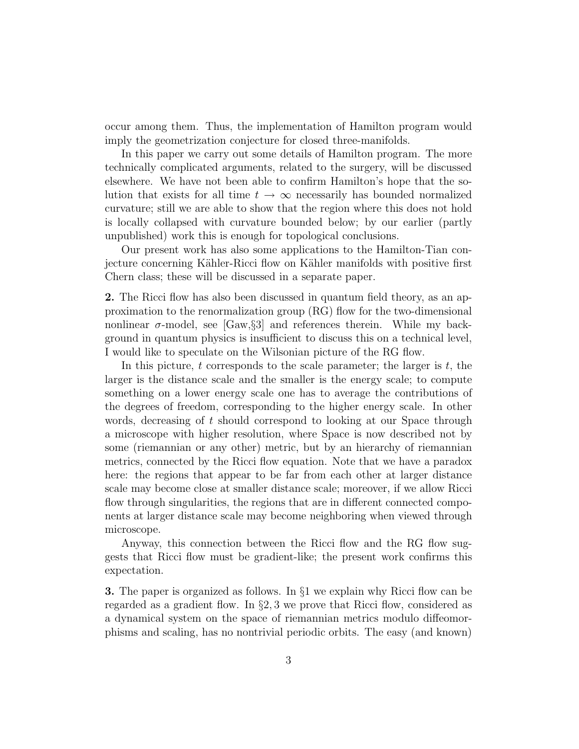occur among them. Thus, the implementation of Hamilton program would imply the geometrization conjecture for closed three-manifolds.

In this paper we carry out some details of Hamilton program. The more technically complicated arguments, related to the surgery, will be discussed elsewhere. We have not been able to confirm Hamilton's hope that the solution that exists for all time  $t \to \infty$  necessarily has bounded normalized curvature; still we are able to show that the region where this does not hold is locally collapsed with curvature bounded below; by our earlier (partly unpublished) work this is enough for topological conclusions.

Our present work has also some applications to the Hamilton-Tian conjecture concerning Kähler-Ricci flow on Kähler manifolds with positive first Chern class; these will be discussed in a separate paper.

2. The Ricci flow has also been discussed in quantum field theory, as an approximation to the renormalization group (RG) flow for the two-dimensional nonlinear  $\sigma$ -model, see [Gaw,§3] and references therein. While my background in quantum physics is insufficient to discuss this on a technical level, I would like to speculate on the Wilsonian picture of the RG flow.

In this picture, t corresponds to the scale parameter; the larger is  $t$ , the larger is the distance scale and the smaller is the energy scale; to compute something on a lower energy scale one has to average the contributions of the degrees of freedom, corresponding to the higher energy scale. In other words, decreasing of t should correspond to looking at our Space through a microscope with higher resolution, where Space is now described not by some (riemannian or any other) metric, but by an hierarchy of riemannian metrics, connected by the Ricci flow equation. Note that we have a paradox here: the regions that appear to be far from each other at larger distance scale may become close at smaller distance scale; moreover, if we allow Ricci flow through singularities, the regions that are in different connected components at larger distance scale may become neighboring when viewed through microscope.

Anyway, this connection between the Ricci flow and the RG flow suggests that Ricci flow must be gradient-like; the present work confirms this expectation.

3. The paper is organized as follows. In §1 we explain why Ricci flow can be regarded as a gradient flow. In  $\S2, 3$  we prove that Ricci flow, considered as a dynamical system on the space of riemannian metrics modulo diffeomorphisms and scaling, has no nontrivial periodic orbits. The easy (and known)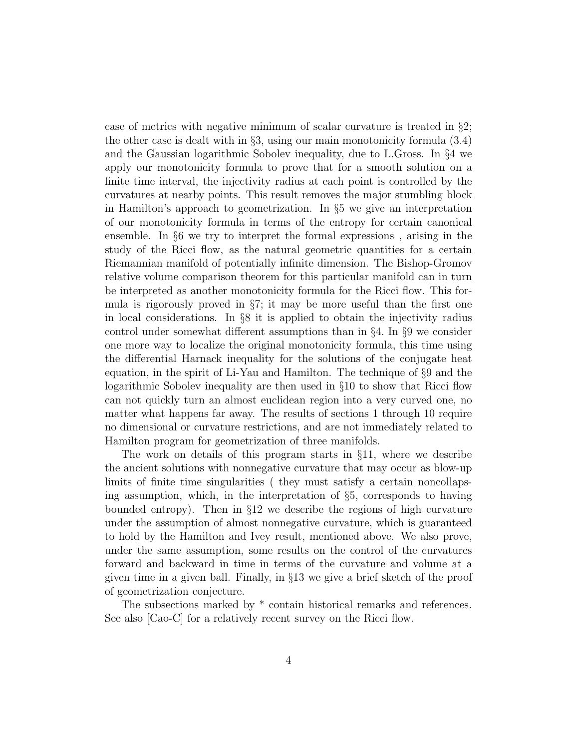case of metrics with negative minimum of scalar curvature is treated in  $\S2$ ; the other case is dealt with in §3, using our main monotonicity formula (3.4) and the Gaussian logarithmic Sobolev inequality, due to L.Gross. In §4 we apply our monotonicity formula to prove that for a smooth solution on a finite time interval, the injectivity radius at each point is controlled by the curvatures at nearby points. This result removes the major stumbling block in Hamilton's approach to geometrization. In §5 we give an interpretation of our monotonicity formula in terms of the entropy for certain canonical ensemble. In §6 we try to interpret the formal expressions , arising in the study of the Ricci flow, as the natural geometric quantities for a certain Riemannian manifold of potentially infinite dimension. The Bishop-Gromov relative volume comparison theorem for this particular manifold can in turn be interpreted as another monotonicity formula for the Ricci flow. This formula is rigorously proved in §7; it may be more useful than the first one in local considerations. In §8 it is applied to obtain the injectivity radius control under somewhat different assumptions than in §4. In §9 we consider one more way to localize the original monotonicity formula, this time using the differential Harnack inequality for the solutions of the conjugate heat equation, in the spirit of Li-Yau and Hamilton. The technique of §9 and the logarithmic Sobolev inequality are then used in §10 to show that Ricci flow can not quickly turn an almost euclidean region into a very curved one, no matter what happens far away. The results of sections 1 through 10 require no dimensional or curvature restrictions, and are not immediately related to Hamilton program for geometrization of three manifolds.

The work on details of this program starts in §11, where we describe the ancient solutions with nonnegative curvature that may occur as blow-up limits of finite time singularities ( they must satisfy a certain noncollapsing assumption, which, in the interpretation of §5, corresponds to having bounded entropy). Then in §12 we describe the regions of high curvature under the assumption of almost nonnegative curvature, which is guaranteed to hold by the Hamilton and Ivey result, mentioned above. We also prove, under the same assumption, some results on the control of the curvatures forward and backward in time in terms of the curvature and volume at a given time in a given ball. Finally, in §13 we give a brief sketch of the proof of geometrization conjecture.

The subsections marked by \* contain historical remarks and references. See also [Cao-C] for a relatively recent survey on the Ricci flow.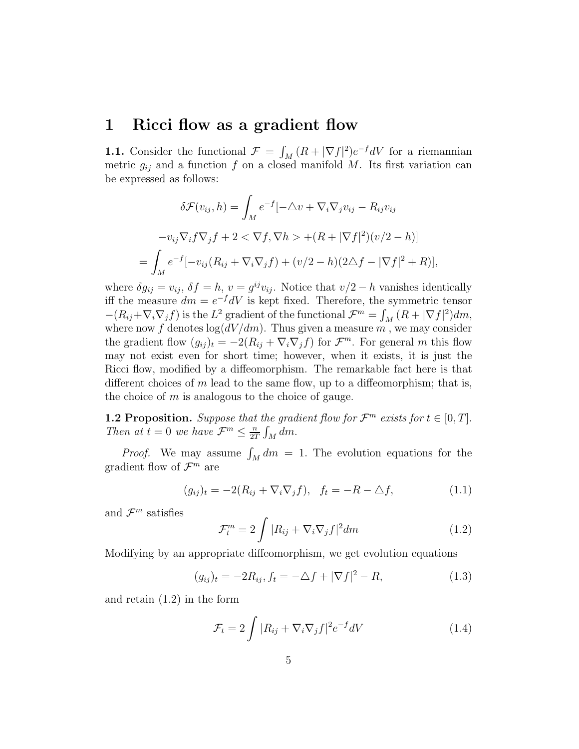### 1 Ricci flow as a gradient flow

**1.1.** Consider the functional  $\mathcal{F} = \int_M (R + |\nabla f|^2) e^{-f} dV$  for a riemannian metric  $g_{ij}$  and a function f on a closed manifold M. Its first variation can be expressed as follows:

$$
\delta \mathcal{F}(v_{ij}, h) = \int_M e^{-f} \left[ -\Delta v + \nabla_i \nabla_j v_{ij} - R_{ij} v_{ij} \right]
$$

$$
-v_{ij} \nabla_i f \nabla_j f + 2 < \nabla f, \nabla h > + (R + |\nabla f|^2)(v/2 - h) \right]
$$

$$
= \int_M e^{-f} \left[ -v_{ij} (R_{ij} + \nabla_i \nabla_j f) + (v/2 - h)(2\Delta f - |\nabla f|^2 + R) \right],
$$

where  $\delta g_{ij} = v_{ij}, \delta f = h, v = g^{ij}v_{ij}$ . Notice that  $v/2 - h$  vanishes identically iff the measure  $dm = e^{-f}dV$  is kept fixed. Therefore, the symmetric tensor  $-(R_{ij} + \nabla_i \nabla_j f)$  is the L<sup>2</sup> gradient of the functional  $\mathcal{F}^m = \int_M (R + |\nabla f|^2) dm$ , where now f denotes  $\log(dV/dm)$ . Thus given a measure m, we may consider the gradient flow  $(g_{ij})_t = -2(R_{ij} + \nabla_i \nabla_j f)$  for  $\mathcal{F}^m$ . For general m this flow may not exist even for short time; however, when it exists, it is just the Ricci flow, modified by a diffeomorphism. The remarkable fact here is that different choices of m lead to the same flow, up to a diffeomorphism; that is, the choice of  $m$  is analogous to the choice of gauge.

**1.2 Proposition.** Suppose that the gradient flow for  $\mathcal{F}^m$  exists for  $t \in [0, T]$ . Then at  $t=0$  we have  $\mathcal{F}^m \leq \frac{n}{21}$  $\frac{n}{2T}\int_M dm$ .

*Proof.* We may assume  $\int_M dm = 1$ . The evolution equations for the gradient flow of  $\mathcal{F}^m$  are

$$
(g_{ij})_t = -2(R_{ij} + \nabla_i \nabla_j f), \ \ f_t = -R - \Delta f, \tag{1.1}
$$

and  $\mathcal{F}^m$  satisfies

$$
\mathcal{F}_t^m = 2 \int |R_{ij} + \nabla_i \nabla_j f|^2 dm \qquad (1.2)
$$

Modifying by an appropriate diffeomorphism, we get evolution equations

$$
(g_{ij})_t = -2R_{ij}, f_t = -\Delta f + |\nabla f|^2 - R,\tag{1.3}
$$

and retain (1.2) in the form

$$
\mathcal{F}_t = 2 \int |R_{ij} + \nabla_i \nabla_j f|^2 e^{-f} dV \tag{1.4}
$$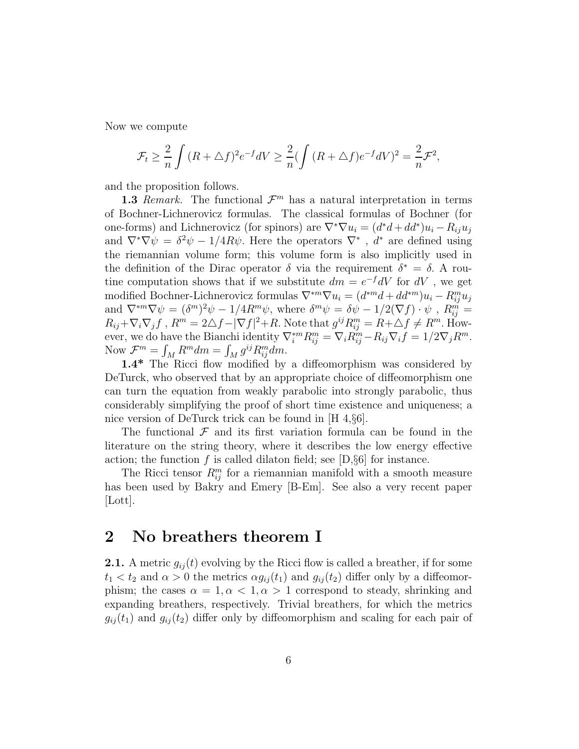Now we compute

$$
\mathcal{F}_t \ge \frac{2}{n} \int (R + \Delta f)^2 e^{-f} dV \ge \frac{2}{n} \left( \int (R + \Delta f) e^{-f} dV \right)^2 = \frac{2}{n} \mathcal{F}^2,
$$

and the proposition follows.

**1.3** Remark. The functional  $\mathcal{F}^m$  has a natural interpretation in terms of Bochner-Lichnerovicz formulas. The classical formulas of Bochner (for one-forms) and Lichnerovicz (for spinors) are  $\nabla^*\nabla u_i = (d^*d + dd^*)u_i - R_{ij}u_j$ and  $\nabla^*\nabla\psi = \delta^2\psi - 1/4R\psi$ . Here the operators  $\nabla^*$ ,  $d^*$  are defined using the riemannian volume form; this volume form is also implicitly used in the definition of the Dirac operator  $\delta$  via the requirement  $\delta^* = \delta$ . A routine computation shows that if we substitute  $dm = e^{-f}dV$  for  $dV$ , we get modified Bochner-Lichnerovicz formulas  $\nabla^{*m}\nabla u_i = (d^{*m}d + dd^{*m})u_i - R_{ij}^m u_j$ and  $\nabla^{*m}\nabla\psi = (\delta^m)^2\psi - 1/4R^m\psi$ , where  $\delta^m\psi = \delta\psi - 1/2(\nabla f) \cdot \psi$ ,  $R_{ij}^m =$  $R_{ij} + \nabla_i \nabla_j f$ ,  $R^m = 2\Delta f - |\nabla f|^2 + R$ . Note that  $g^{ij} R_{ij}^m = R + \Delta f \neq R^m$ . However, we do have the Bianchi identity  $\nabla_i^{*m} R_{ij}^m = \nabla_i R_{ij}^m - R_{ij} \nabla_i f = 1/2 \nabla_j R^m$ . Now  $\mathcal{F}^m = \int_M R^m dm = \int_M g^{ij} R^m_{ij} dm$ .

1.4\* The Ricci flow modified by a diffeomorphism was considered by DeTurck, who observed that by an appropriate choice of diffeomorphism one can turn the equation from weakly parabolic into strongly parabolic, thus considerably simplifying the proof of short time existence and uniqueness; a nice version of DeTurck trick can be found in [H 4,§6].

The functional  $\mathcal F$  and its first variation formula can be found in the literature on the string theory, where it describes the low energy effective action; the function f is called dilaton field; see  $[D,\S6]$  for instance.

The Ricci tensor  $R_{ij}^m$  for a riemannian manifold with a smooth measure has been used by Bakry and Emery [B-Em]. See also a very recent paper  $|Lott|$ .

#### 2 No breathers theorem I

**2.1.** A metric  $g_{ij}(t)$  evolving by the Ricci flow is called a breather, if for some  $t_1 < t_2$  and  $\alpha > 0$  the metrics  $\alpha g_{ij}(t_1)$  and  $g_{ij}(t_2)$  differ only by a diffeomorphism; the cases  $\alpha = 1, \alpha < 1, \alpha > 1$  correspond to steady, shrinking and expanding breathers, respectively. Trivial breathers, for which the metrics  $g_{ij}(t_1)$  and  $g_{ij}(t_2)$  differ only by diffeomorphism and scaling for each pair of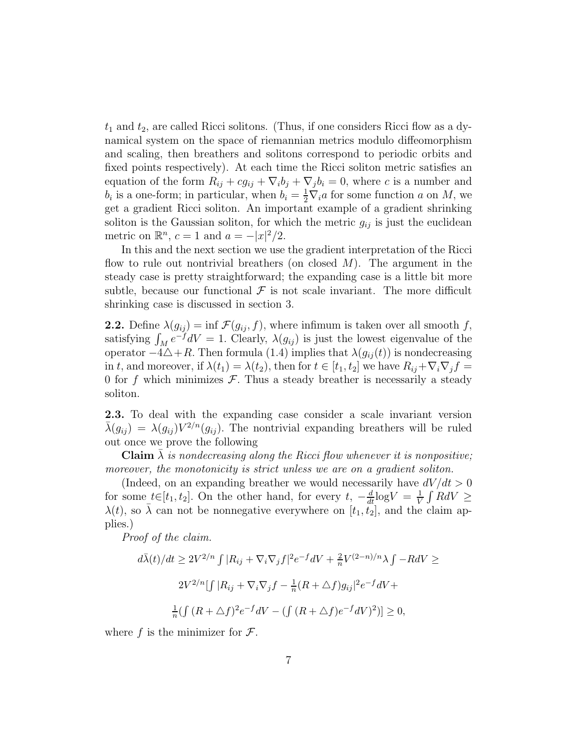$t_1$  and  $t_2$ , are called Ricci solitons. (Thus, if one considers Ricci flow as a dynamical system on the space of riemannian metrics modulo diffeomorphism and scaling, then breathers and solitons correspond to periodic orbits and fixed points respectively). At each time the Ricci soliton metric satisfies an equation of the form  $R_{ij} + cg_{ij} + \nabla_i b_j + \nabla_j b_i = 0$ , where c is a number and  $b_i$  is a one-form; in particular, when  $b_i = \frac{1}{2} \nabla_i a$  for some function a on M, we get a gradient Ricci soliton. An important example of a gradient shrinking soliton is the Gaussian soliton, for which the metric  $g_{ij}$  is just the euclidean metric on  $\mathbb{R}^n$ ,  $c = 1$  and  $a = -|x|^2/2$ .

In this and the next section we use the gradient interpretation of the Ricci flow to rule out nontrivial breathers (on closed  $M$ ). The argument in the steady case is pretty straightforward; the expanding case is a little bit more subtle, because our functional  $\mathcal F$  is not scale invariant. The more difficult shrinking case is discussed in section 3.

**2.2.** Define  $\lambda(g_{ij}) = \inf \mathcal{F}(g_{ij}, f)$ , where infimum is taken over all smooth f, satisfying  $\int_M e^{-f} dV = 1$ . Clearly,  $\lambda(g_{ij})$  is just the lowest eigenvalue of the operator  $-4\Delta + R$ . Then formula (1.4) implies that  $\lambda(g_{ii}(t))$  is nondecreasing in t, and moreover, if  $\lambda(t_1) = \lambda(t_2)$ , then for  $t \in [t_1, t_2]$  we have  $R_{ij} + \nabla_i \nabla_j f =$ 0 for f which minimizes  $\mathcal F$ . Thus a steady breather is necessarily a steady soliton.

2.3. To deal with the expanding case consider a scale invariant version  $\bar{\lambda}(g_{ij}) = \lambda(g_{ij}) V^{2/n}(g_{ij}).$  The nontrivial expanding breathers will be ruled out once we prove the following

**Claim**  $\lambda$  is nondecreasing along the Ricci flow whenever it is nonpositive; moreover, the monotonicity is strict unless we are on a gradient soliton.

(Indeed, on an expanding breather we would necessarily have  $dV/dt > 0$ for some  $t \in [t_1, t_2]$ . On the other hand, for every  $t, -\frac{d}{dt} \log V = \frac{1}{V}$  $\frac{1}{V}\int RdV \geq$  $\lambda(t)$ , so  $\overline{\lambda}$  can not be nonnegative everywhere on [t<sub>1</sub>, t<sub>2</sub>], and the claim applies.)

Proof of the claim.

$$
d\bar{\lambda}(t)/dt \ge 2V^{2/n} \int |R_{ij} + \nabla_i \nabla_j f|^2 e^{-f} dV + \frac{2}{n} V^{(2-n)/n} \lambda \int -R dV \ge
$$
  

$$
2V^{2/n} \int |R_{ij} + \nabla_i \nabla_j f - \frac{1}{n} (R + \Delta f) g_{ij}|^2 e^{-f} dV +
$$
  

$$
\frac{1}{n} \int (R + \Delta f)^2 e^{-f} dV - \int (R + \Delta f) e^{-f} dV \ge 0,
$$

where f is the minimizer for  $\mathcal{F}$ .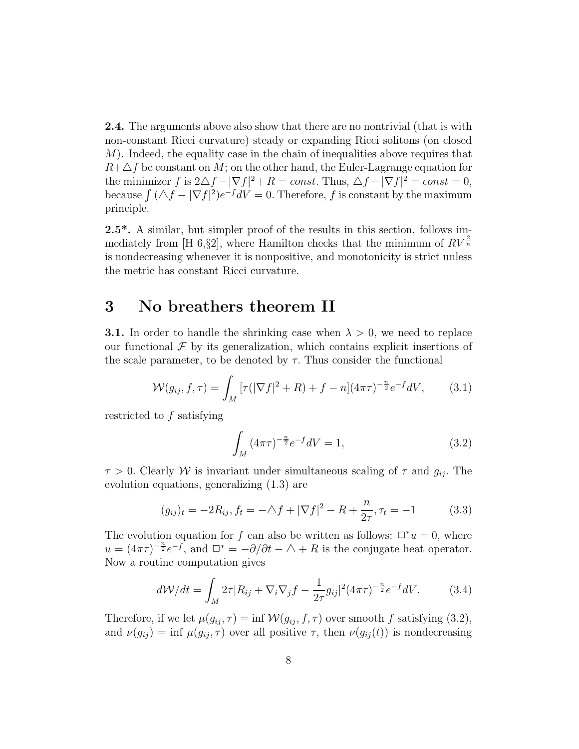2.4. The arguments above also show that there are no nontrivial (that is with non-constant Ricci curvature) steady or expanding Ricci solitons (on closed M). Indeed, the equality case in the chain of inequalities above requires that  $R+\Delta f$  be constant on M; on the other hand, the Euler-Lagrange equation for the minimizer f is  $2\Delta f - |\nabla f|^2 + R = const.$  Thus,  $\Delta f - |\nabla f|^2 = const = 0$ , because  $\int (\Delta f - |\nabla f|^2) e^{-f} dV = 0$ . Therefore, f is constant by the maximum principle.

2.5\*. A similar, but simpler proof of the results in this section, follows immediately from [H 6,§2], where Hamilton checks that the minimum of  $RV^{\frac{2}{n}}$ is nondecreasing whenever it is nonpositive, and monotonicity is strict unless the metric has constant Ricci curvature.

#### 3 No breathers theorem II

**3.1.** In order to handle the shrinking case when  $\lambda > 0$ , we need to replace our functional  $\mathcal F$  by its generalization, which contains explicit insertions of the scale parameter, to be denoted by  $\tau$ . Thus consider the functional

$$
\mathcal{W}(g_{ij}, f, \tau) = \int_M \left[ \tau (|\nabla f|^2 + R) + f - n \right] (4\pi \tau)^{-\frac{n}{2}} e^{-f} dV, \tag{3.1}
$$

restricted to f satisfying

$$
\int_{M} (4\pi\tau)^{-\frac{n}{2}} e^{-f} dV = 1,
$$
\n(3.2)

 $\tau > 0$ . Clearly W is invariant under simultaneous scaling of  $\tau$  and  $g_{ij}$ . The evolution equations, generalizing (1.3) are

$$
(g_{ij})_t = -2R_{ij}, f_t = -\Delta f + |\nabla f|^2 - R + \frac{n}{2\tau}, \tau_t = -1
$$
\n(3.3)

The evolution equation for f can also be written as follows:  $\Box^* u = 0$ , where  $u = (4\pi\tau)^{-\frac{n}{2}}e^{-f}$ , and  $\Box^* = -\partial/\partial t - \triangle + R$  is the conjugate heat operator. Now a routine computation gives

$$
dW/dt = \int_M 2\tau |R_{ij} + \nabla_i \nabla_j f - \frac{1}{2\tau} g_{ij}|^2 (4\pi\tau)^{-\frac{n}{2}} e^{-f} dV.
$$
 (3.4)

Therefore, if we let  $\mu(g_{ij}, \tau) = \inf \mathcal{W}(g_{ij}, f, \tau)$  over smooth f satisfying (3.2), and  $\nu(g_{ij}) = \inf \mu(g_{ij}, \tau)$  over all positive  $\tau$ , then  $\nu(g_{ij}(t))$  is nondecreasing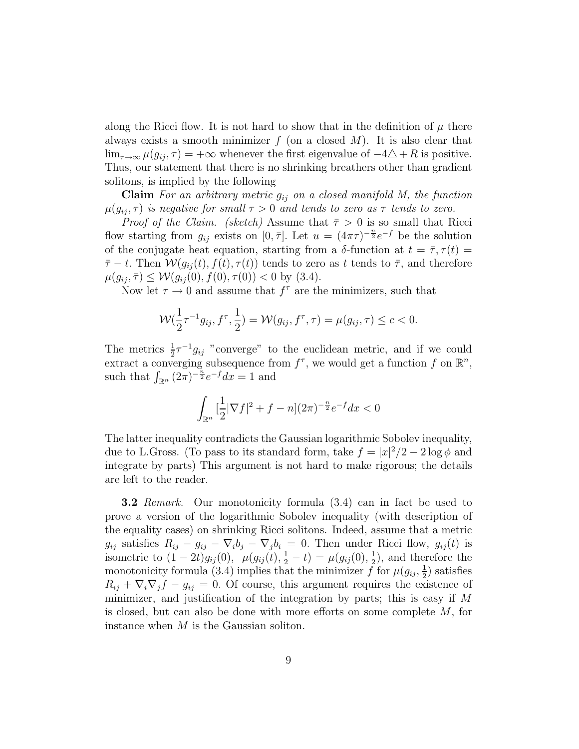along the Ricci flow. It is not hard to show that in the definition of  $\mu$  there always exists a smooth minimizer  $f$  (on a closed  $M$ ). It is also clear that  $\lim_{\tau \to \infty} \mu(g_{ij}, \tau) = +\infty$  whenever the first eigenvalue of  $-4\Delta + R$  is positive. Thus, our statement that there is no shrinking breathers other than gradient solitons, is implied by the following

**Claim** For an arbitrary metric  $g_{ij}$  on a closed manifold M, the function  $\mu(g_{ii}, \tau)$  is negative for small  $\tau > 0$  and tends to zero as  $\tau$  tends to zero.

*Proof of the Claim.* (sketch) Assume that  $\bar{\tau} > 0$  is so small that Ricci flow starting from  $g_{ij}$  exists on  $[0, \bar{\tau}]$ . Let  $u = (4\pi\tau)^{-\frac{n}{2}}e^{-f}$  be the solution of the conjugate heat equation, starting from a  $\delta$ -function at  $t = \overline{\tau}, \tau(t) =$  $\bar{\tau}-t$ . Then  $\mathcal{W}(g_{ij}(t), f(t), \tau(t))$  tends to zero as t tends to  $\bar{\tau}$ , and therefore  $\mu(g_{ij}, \overline{\tau}) \leq \mathcal{W}(g_{ij}(0), f(0), \tau(0)) < 0$  by (3.4).

Now let  $\tau \to 0$  and assume that  $f^{\tau}$  are the minimizers, such that

$$
\mathcal{W}(\frac{1}{2}\tau^{-1}g_{ij}, f^{\tau}, \frac{1}{2}) = \mathcal{W}(g_{ij}, f^{\tau}, \tau) = \mu(g_{ij}, \tau) \le c < 0.
$$

The metrics  $\frac{1}{2}\tau^{-1}g_{ij}$  "converge" to the euclidean metric, and if we could extract a converging subsequence from  $f^{\tau}$ , we would get a function f on  $\mathbb{R}^n$ , such that  $\int_{\mathbb{R}^n} (2\pi)^{-\frac{n}{2}} e^{-f} dx = 1$  and

$$
\int_{\mathbb{R}^n} \big[ \frac{1}{2} |\nabla f|^2 + f - n \big] (2\pi)^{-\frac{n}{2}} e^{-f} dx < 0
$$

The latter inequality contradicts the Gaussian logarithmic Sobolev inequality, due to L.Gross. (To pass to its standard form, take  $f = |x|^2/2 - 2\log \phi$  and integrate by parts) This argument is not hard to make rigorous; the details are left to the reader.

**3.2** Remark. Our monotonicity formula  $(3.4)$  can in fact be used to prove a version of the logarithmic Sobolev inequality (with description of the equality cases) on shrinking Ricci solitons. Indeed, assume that a metric  $g_{ij}$  satisfies  $R_{ij} - g_{ij} - \nabla_i b_j - \nabla_j b_i = 0$ . Then under Ricci flow,  $g_{ij}(t)$  is isometric to  $(1-2t)g_{ij}(0)$ ,  $\mu(g_{ij}(t),\frac{1}{2}-t) = \mu(g_{ij}(0),\frac{1}{2}$  $(\frac{1}{2})$ , and therefore the monotonicity formula (3.4) implies that the minimizer  $\bar{f}$  for  $\mu(g_{ij}, \frac{1}{2})$  $(\frac{1}{2})$  satisfies  $R_{ij} + \nabla_i \nabla_j f - g_{ij} = 0$ . Of course, this argument requires the existence of minimizer, and justification of the integration by parts; this is easy if M is closed, but can also be done with more efforts on some complete  $M$ , for instance when M is the Gaussian soliton.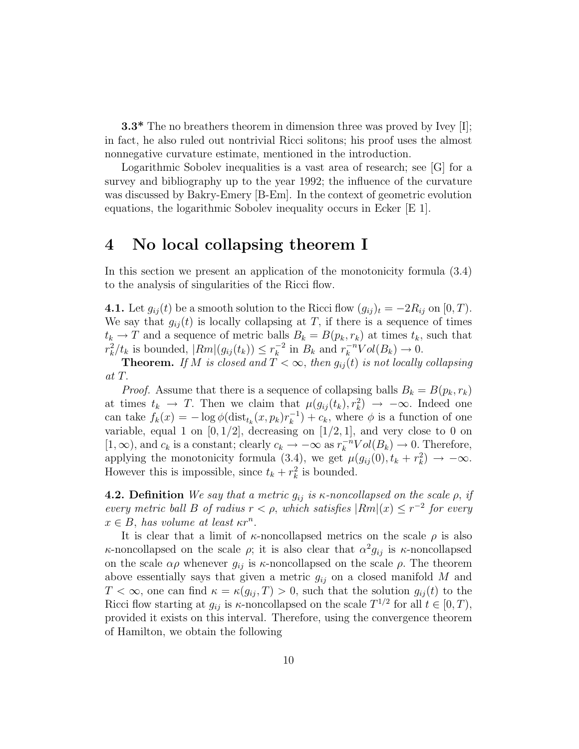**3.3\*** The no breathers theorem in dimension three was proved by Ivey [I]; in fact, he also ruled out nontrivial Ricci solitons; his proof uses the almost nonnegative curvature estimate, mentioned in the introduction.

Logarithmic Sobolev inequalities is a vast area of research; see [G] for a survey and bibliography up to the year 1992; the influence of the curvature was discussed by Bakry-Emery [B-Em]. In the context of geometric evolution equations, the logarithmic Sobolev inequality occurs in Ecker [E 1].

#### 4 No local collapsing theorem I

In this section we present an application of the monotonicity formula (3.4) to the analysis of singularities of the Ricci flow.

4.1. Let  $g_{ij}(t)$  be a smooth solution to the Ricci flow  $(g_{ij})_t = -2R_{ij}$  on  $[0, T)$ . We say that  $g_{ij}(t)$  is locally collapsing at T, if there is a sequence of times  $t_k \to T$  and a sequence of metric balls  $B_k = B(p_k, r_k)$  at times  $t_k$ , such that  $r_k^2/t_k$  is bounded,  $|Rm|(g_{ij}(t_k)) \leq r_k^{-2}$  in  $B_k$  and  $r_k^{-n}Vol(B_k) \to 0$ .

**Theorem.** If M is closed and  $T < \infty$ , then  $g_{ij}(t)$  is not locally collapsing at T.

*Proof.* Assume that there is a sequence of collapsing balls  $B_k = B(p_k, r_k)$ at times  $t_k \to T$ . Then we claim that  $\mu(g_{ij}(t_k), r_k^2) \to -\infty$ . Indeed one can take  $f_k(x) = -\log \phi(\text{dist}_{t_k}(x, p_k)r_k^{-1}) + c_k$ , where  $\phi$  is a function of one variable, equal 1 on  $[0, 1/2]$ , decreasing on  $[1/2, 1]$ , and very close to 0 on [1, ∞), and  $c_k$  is a constant; clearly  $c_k \to -\infty$  as  $r_k^{-n}Vol(B_k) \to 0$ . Therefore, applying the monotonicity formula  $(3.4)$ , we get  $\mu(g_{ij}(0), t_k + r_k^2) \to -\infty$ . However this is impossible, since  $t_k + r_k^2$  is bounded.

**4.2. Definition** We say that a metric  $g_{ij}$  is  $\kappa$ -noncollapsed on the scale  $\rho$ , if every metric ball B of radius  $r < \rho$ , which satisfies  $|Rm|(x) \leq r^{-2}$  for every  $x \in B$ , has volume at least  $\kappa r^n$ .

It is clear that a limit of  $\kappa$ -noncollapsed metrics on the scale  $\rho$  is also κ-noncollapsed on the scale  $ρ$ ; it is also clear that  $\alpha^2 g_{ij}$  is κ-noncollapsed on the scale  $\alpha \rho$  whenever  $g_{ij}$  is  $\kappa$ -noncollapsed on the scale  $\rho$ . The theorem above essentially says that given a metric  $g_{ij}$  on a closed manifold M and  $T < \infty$ , one can find  $\kappa = \kappa(g_{ij}, T) > 0$ , such that the solution  $g_{ij}(t)$  to the Ricci flow starting at  $g_{ij}$  is  $\kappa$ -noncollapsed on the scale  $T^{1/2}$  for all  $t \in [0, T)$ , provided it exists on this interval. Therefore, using the convergence theorem of Hamilton, we obtain the following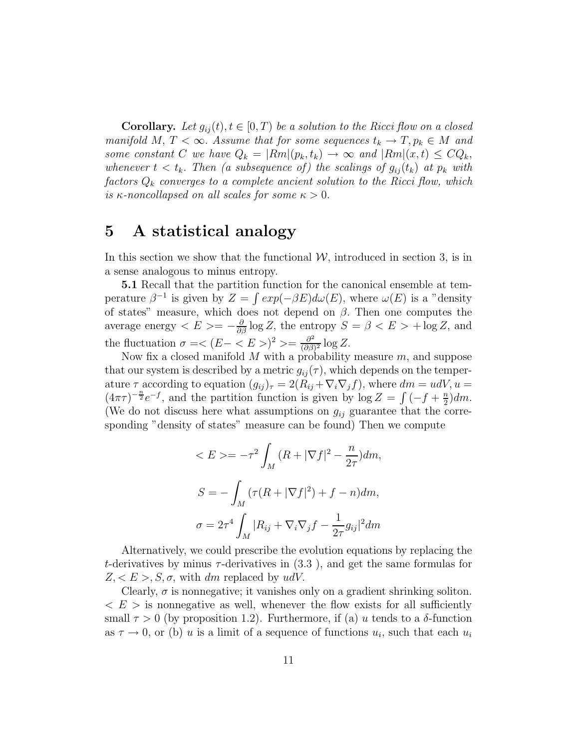**Corollary.** Let  $g_{ij}(t), t \in [0, T)$  be a solution to the Ricci flow on a closed manifold M,  $T < \infty$ . Assume that for some sequences  $t_k \to T, p_k \in M$  and some constant C we have  $Q_k = |Rm|(p_k, t_k) \rightarrow \infty$  and  $|Rm|(x, t) \leq CQ_k$ , whenever  $t < t_k$ . Then (a subsequence of) the scalings of  $g_{ij}(t_k)$  at  $p_k$  with factors  $Q_k$  converges to a complete ancient solution to the Ricci flow, which is  $\kappa$ -noncollapsed on all scales for some  $\kappa > 0$ .

#### 5 A statistical analogy

In this section we show that the functional  $W$ , introduced in section 3, is in a sense analogous to minus entropy.

5.1 Recall that the partition function for the canonical ensemble at temperature  $\beta^{-1}$  is given by  $Z = \int exp(-\beta E) d\omega(E)$ , where  $\omega(E)$  is a "density of states" measure, which does not depend on  $\beta$ . Then one computes the average energy  $\langle E \rangle = -\frac{\partial}{\partial \beta} \log Z$ , the entropy  $S = \beta \langle E \rangle + \log Z$ , and the fluctuation  $\sigma = \langle (E - \langle E \rangle)^2 \rangle = \frac{\partial^2}{\partial \beta}$  $\frac{\partial^2}{(\partial \beta)^2} \log Z$ .

Now fix a closed manifold  $M$  with a probability measure  $m$ , and suppose that our system is described by a metric  $g_{ij}(\tau)$ , which depends on the temperature  $\tau$  according to equation  $(g_{ij})_{\tau} = 2(R_{ij} + \nabla_i \nabla_j f)$ , where  $dm = udV$ ,  $u =$  $(4\pi\tau)^{-\frac{n}{2}}e^{-f}$ , and the partition function is given by  $\log Z = \int (-f + \frac{n}{2})$  $\frac{n}{2}$ )dm. (We do not discuss here what assumptions on  $q_{ij}$  guarantee that the corresponding "density of states" measure can be found) Then we compute

$$
\langle E \rangle = -\tau^2 \int_M (R + |\nabla f|^2 - \frac{n}{2\tau}) dm,
$$
  

$$
S = -\int_M (\tau (R + |\nabla f|^2) + f - n) dm,
$$
  

$$
\sigma = 2\tau^4 \int_M |R_{ij} + \nabla_i \nabla_j f - \frac{1}{2\tau} g_{ij}|^2 dm
$$

Alternatively, we could prescribe the evolution equations by replacing the t-derivatives by minus  $\tau$ -derivatives in (3.3), and get the same formulas for  $Z, \langle E \rangle, S, \sigma$ , with dm replaced by udV.

Clearly,  $\sigma$  is nonnegative; it vanishes only on a gradient shrinking soliton.  $\langle E \rangle$  is nonnegative as well, whenever the flow exists for all sufficiently small  $\tau > 0$  (by proposition 1.2). Furthermore, if (a) u tends to a  $\delta$ -function as  $\tau \to 0$ , or (b) u is a limit of a sequence of functions  $u_i$ , such that each  $u_i$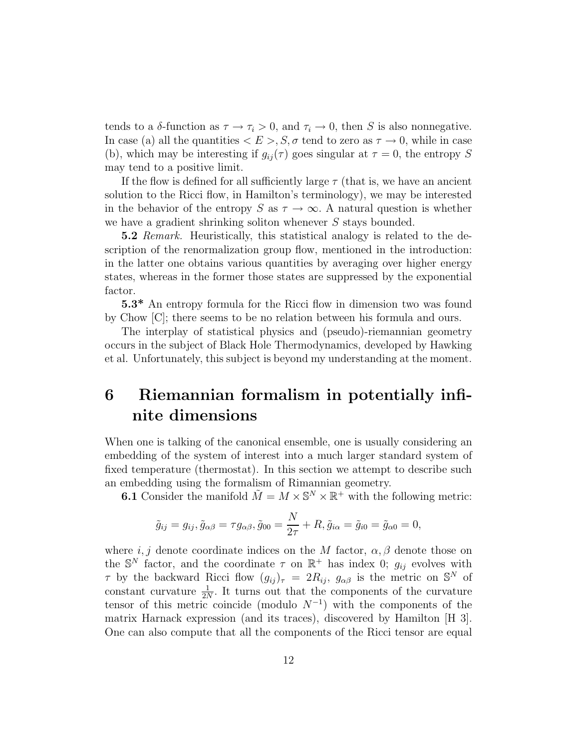tends to a  $\delta$ -function as  $\tau \to \tau_i > 0$ , and  $\tau_i \to 0$ , then S is also nonnegative. In case (a) all the quantities  $\langle E \rangle$ , S,  $\sigma$  tend to zero as  $\tau \to 0$ , while in case (b), which may be interesting if  $g_{ij}(\tau)$  goes singular at  $\tau = 0$ , the entropy S may tend to a positive limit.

If the flow is defined for all sufficiently large  $\tau$  (that is, we have an ancient solution to the Ricci flow, in Hamilton's terminology), we may be interested in the behavior of the entropy S as  $\tau \to \infty$ . A natural question is whether we have a gradient shrinking soliton whenever S stays bounded.

5.2 Remark. Heuristically, this statistical analogy is related to the description of the renormalization group flow, mentioned in the introduction: in the latter one obtains various quantities by averaging over higher energy states, whereas in the former those states are suppressed by the exponential factor.

5.3\* An entropy formula for the Ricci flow in dimension two was found by Chow [C]; there seems to be no relation between his formula and ours.

The interplay of statistical physics and (pseudo)-riemannian geometry occurs in the subject of Black Hole Thermodynamics, developed by Hawking et al. Unfortunately, this subject is beyond my understanding at the moment.

### 6 Riemannian formalism in potentially infinite dimensions

When one is talking of the canonical ensemble, one is usually considering an embedding of the system of interest into a much larger standard system of fixed temperature (thermostat). In this section we attempt to describe such an embedding using the formalism of Rimannian geometry.

**6.1** Consider the manifold  $\tilde{M} = M \times \mathbb{S}^N \times \mathbb{R}^+$  with the following metric:

$$
\tilde{g}_{ij} = g_{ij}, \tilde{g}_{\alpha\beta} = \tau g_{\alpha\beta}, \tilde{g}_{00} = \frac{N}{2\tau} + R, \tilde{g}_{i\alpha} = \tilde{g}_{i0} = \tilde{g}_{\alpha 0} = 0,
$$

where i, j denote coordinate indices on the M factor,  $\alpha$ ,  $\beta$  denote those on the  $\mathbb{S}^N$  factor, and the coordinate  $\tau$  on  $\mathbb{R}^+$  has index 0;  $g_{ij}$  evolves with τ by the backward Ricci flow  $(g_{ij})_{\tau} = 2R_{ij}$ ,  $g_{\alpha\beta}$  is the metric on S<sup>N</sup> of constant curvature  $\frac{1}{2N}$ . It turns out that the components of the curvature tensor of this metric coincide (modulo  $N^{-1}$ ) with the components of the matrix Harnack expression (and its traces), discovered by Hamilton [H 3]. One can also compute that all the components of the Ricci tensor are equal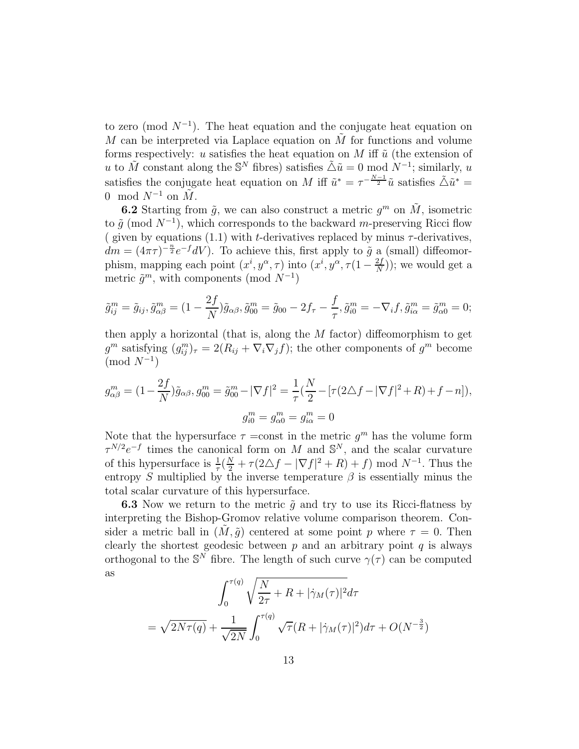to zero (mod  $N^{-1}$ ). The heat equation and the conjugate heat equation on  $M$  can be interpreted via Laplace equation on  $M$  for functions and volume forms respectively: u satisfies the heat equation on M iff  $\tilde{u}$  (the extension of u to  $\tilde{M}$  constant along the S<sup>N</sup> fibres) satisfies  $\tilde{\Delta} \tilde{u} = 0 \mod N^{-1}$ ; similarly, u satisfies the conjugate heat equation on M iff  $\tilde{u}^* = \tau^{-\frac{N-1}{2}}\tilde{u}$  satisfies  $\tilde{\triangle}\tilde{u}^* =$ 0 mod  $N^{-1}$  on  $\tilde{M}$ .

**6.2** Starting from  $\tilde{g}$ , we can also construct a metric  $g^m$  on  $\tilde{M}$ , isometric to  $\tilde{g}$  (mod  $N^{-1}$ ), which corresponds to the backward m-preserving Ricci flow ( given by equations (1.1) with t-derivatives replaced by minus  $\tau$ -derivatives,  $\ddot{dm} = (4\pi\tau)^{-\frac{n}{2}}e^{-f}dV$ . To achieve this, first apply to  $\ddot{g}$  a (small) diffeomorphism, mapping each point  $(x^i, y^\alpha, \tau)$  into  $(x^i, y^\alpha, \tau(1 - \frac{2f}{N})$  $\frac{2I}{N}$ ); we would get a metric  $\tilde{g}^m$ , with components (mod  $N^{-1}$ )

$$
\tilde{g}_{ij}^m = \tilde{g}_{ij}, \tilde{g}_{\alpha\beta}^m = (1 - \frac{2f}{N})\tilde{g}_{\alpha\beta}, \tilde{g}_{00}^m = \tilde{g}_{00} - 2f_{\tau} - \frac{f}{\tau}, \tilde{g}_{i0}^m = -\nabla_i f, \tilde{g}_{i\alpha}^m = \tilde{g}_{\alpha 0}^m = 0;
$$

then apply a horizontal (that is, along the  $M$  factor) diffeomorphism to get  $g^m$  satisfying  $(g_{ij}^m)_{\tau} = 2(R_{ij} + \nabla_i \nabla_j f)$ ; the other components of  $g^m$  become  $\pmod{N^{-1}}$ 

$$
g_{\alpha\beta}^m = (1 - \frac{2f}{N})\tilde{g}_{\alpha\beta}, g_{00}^m = \tilde{g}_{00}^m - |\nabla f|^2 = \frac{1}{\tau}(\frac{N}{2} - [\tau(2\triangle f - |\nabla f|^2 + R) + f - n]),
$$
  

$$
g_{i0}^m = g_{i\alpha}^m = g_{i\alpha}^m = 0
$$

Note that the hypersurface  $\tau = \text{const}$  in the metric  $g^m$  has the volume form  $\tau^{N/2}e^{-f}$  times the canonical form on M and  $\mathbb{S}^N$ , and the scalar curvature of this hypersurface is  $\frac{1}{\tau}(\frac{N}{2} + \tau(2\Delta f - |\nabla f|^2 + R) + f) \mod N^{-1}$ . Thus the entropy S multiplied by the inverse temperature  $\beta$  is essentially minus the total scalar curvature of this hypersurface.

**6.3** Now we return to the metric  $\tilde{q}$  and try to use its Ricci-flatness by interpreting the Bishop-Gromov relative volume comparison theorem. Consider a metric ball in  $(M, \tilde{g})$  centered at some point p where  $\tau = 0$ . Then clearly the shortest geodesic between  $p$  and an arbitrary point  $q$  is always orthogonal to the  $\mathbb{S}^N$  fibre. The length of such curve  $\gamma(\tau)$  can be computed as

$$
\int_0^{\tau(q)} \sqrt{\frac{N}{2\tau} + R + |\dot{\gamma}_M(\tau)|^2} d\tau
$$
  
=  $\sqrt{2N\tau(q)} + \frac{1}{\sqrt{2N}} \int_0^{\tau(q)} \sqrt{\tau} (R + |\dot{\gamma}_M(\tau)|^2) d\tau + O(N^{-\frac{3}{2}})$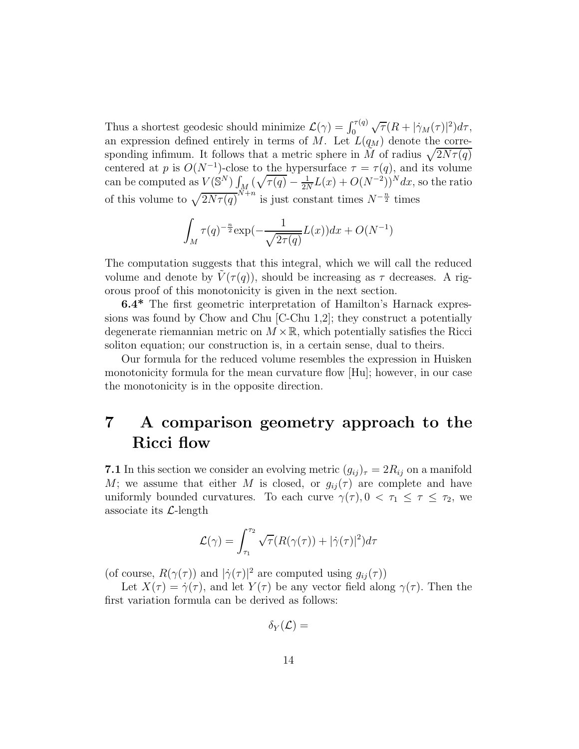Thus a shortest geodesic should minimize  $\mathcal{L}(\gamma) = \int_{0}^{\tau(q)}$  $\sqrt{\tau}(R+|\dot{\gamma}_M(\tau)|^2)d\tau,$ an expression defined entirely in terms of M. Let  $L(q_M)$  denote the corresponding infimum. It follows that a metric sphere in  $\tilde{M}$  of radius  $\sqrt{2N\tau(q)}$ centered at p is  $O(N^{-1})$ -close to the hypersurface  $\tau = \tau(q)$ , and its volume can be computed as  $V(\mathbb{S}^N) \int_M (\sqrt{\tau(q)} - \frac{1}{2N})$  $\frac{1}{2N}L(x) + O(N^{-2}))^{N}dx$ , so the ratio of this volume to  $\sqrt{2N\tau(q)}^{N+n}$  is just constant times  $N^{-\frac{n}{2}}$  times

$$
\int_M \tau(q)^{-\frac{n}{2}} \exp(-\frac{1}{\sqrt{2\tau(q)}} L(x)) dx + O(N^{-1})
$$

The computation suggests that this integral, which we will call the reduced volume and denote by  $V(\tau(q))$ , should be increasing as  $\tau$  decreases. A rigorous proof of this monotonicity is given in the next section.

6.4\* The first geometric interpretation of Hamilton's Harnack expressions was found by Chow and Chu [C-Chu 1,2]; they construct a potentially degenerate riemannian metric on  $M \times \mathbb{R}$ , which potentially satisfies the Ricci soliton equation; our construction is, in a certain sense, dual to theirs.

Our formula for the reduced volume resembles the expression in Huisken monotonicity formula for the mean curvature flow [Hu]; however, in our case the monotonicity is in the opposite direction.

### 7 A comparison geometry approach to the Ricci flow

7.1 In this section we consider an evolving metric  $(g_{ij})_{\tau} = 2R_{ij}$  on a manifold M; we assume that either M is closed, or  $g_{ij}(\tau)$  are complete and have uniformly bounded curvatures. To each curve  $\gamma(\tau)$ ,  $0 < \tau_1 \leq \tau \leq \tau_2$ , we associate its  $\mathcal{L}$ -length

$$
\mathcal{L}(\gamma) = \int_{\tau_1}^{\tau_2} \sqrt{\tau} (R(\gamma(\tau)) + |\dot{\gamma}(\tau)|^2) d\tau
$$

(of course,  $R(\gamma(\tau))$  and  $|\dot{\gamma}(\tau)|^2$  are computed using  $g_{ij}(\tau)$ )

Let  $X(\tau) = \dot{\gamma}(\tau)$ , and let  $Y(\tau)$  be any vector field along  $\gamma(\tau)$ . Then the first variation formula can be derived as follows:

$$
\delta_Y(\mathcal{L}) =
$$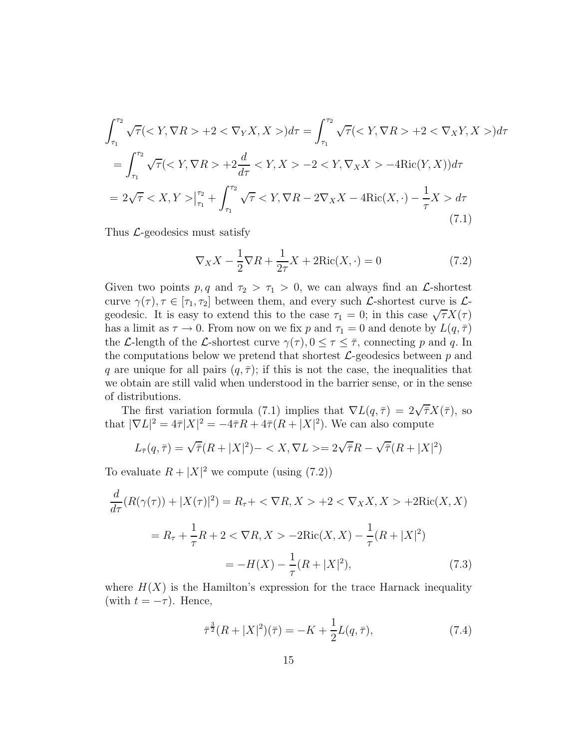$$
\int_{\tau_1}^{\tau_2} \sqrt{\tau} \left( \langle Y, \nabla R \rangle + 2 \langle \nabla_Y X, X \rangle \right) d\tau = \int_{\tau_1}^{\tau_2} \sqrt{\tau} \left( \langle Y, \nabla R \rangle + 2 \langle \nabla_X Y, X \rangle \right) d\tau
$$

$$
= \int_{\tau_1}^{\tau_2} \sqrt{\tau} \left( \langle Y, \nabla R \rangle + 2 \frac{d}{d\tau} \langle Y, X \rangle - 2 \langle Y, \nabla_X X \rangle - 4 \text{Ric}(Y, X) \right) d\tau
$$

$$
= 2\sqrt{\tau} \langle X, Y \rangle \Big|_{\tau_1}^{\tau_2} + \int_{\tau_1}^{\tau_2} \sqrt{\tau} \langle Y, \nabla R - 2 \nabla_X X - 4 \text{Ric}(X, \cdot) - \frac{1}{\tau} X \rangle d\tau
$$
(7.1)

Thus  $\mathcal{L}$ -geodesics must satisfy

$$
\nabla_X X - \frac{1}{2}\nabla R + \frac{1}{2\tau}X + 2\text{Ric}(X, \cdot) = 0\tag{7.2}
$$

Given two points  $p, q$  and  $\tau_2 > \tau_1 > 0$ , we can always find an *L*-shortest curve  $\gamma(\tau)$ ,  $\tau \in [\tau_1, \tau_2]$  between them, and every such *L*-shortest curve is *L*geodesic. It is easy to extend this to the case  $\tau_1 = 0$ ; in this case  $\sqrt{\tau}X(\tau)$ has a limit as  $\tau \to 0$ . From now on we fix p and  $\tau_1 = 0$  and denote by  $L(q, \bar{\tau})$ the L-length of the L-shortest curve  $\gamma(\tau)$ ,  $0 \leq \tau \leq \overline{\tau}$ , connecting p and q. In the computations below we pretend that shortest  $\mathcal{L}$ -geodesics between p and q are unique for all pairs  $(q, \overline{\tau})$ ; if this is not the case, the inequalities that we obtain are still valid when understood in the barrier sense, or in the sense of distributions.

The first variation formula (7.1) implies that  $\nabla L(q, \overline{\tau}) = 2\sqrt{\overline{\tau}}X(\overline{\tau})$ , so that  $|\nabla L|^2 = 4\bar{\tau}|X|^2 = -4\bar{\tau}R + 4\bar{\tau}(R + |X|^2)$ . We can also compute

$$
L_{\overline{\tau}}(q,\overline{\tau}) = \sqrt{\overline{\tau}}(R + |X|^2) - \langle X, \nabla L \rangle = 2\sqrt{\overline{\tau}}R - \sqrt{\overline{\tau}}(R + |X|^2)
$$

To evaluate  $R + |X|^2$  we compute (using (7.2))

$$
\frac{d}{d\tau}(R(\gamma(\tau)) + |X(\tau)|^2) = R_{\tau} + \langle \nabla R, X \rangle + 2 \langle \nabla_X X, X \rangle + 2\text{Ric}(X, X)
$$

$$
= R_{\tau} + \frac{1}{\tau}R + 2 \langle \nabla R, X \rangle - 2\text{Ric}(X, X) - \frac{1}{\tau}(R + |X|^2)
$$

$$
= -H(X) - \frac{1}{\tau}(R + |X|^2), \tag{7.3}
$$

where  $H(X)$  is the Hamilton's expression for the trace Harnack inequality (with  $t = -\tau$ ). Hence,

$$
\bar{\tau}^{\frac{3}{2}}(R+|X|^2)(\bar{\tau}) = -K + \frac{1}{2}L(q,\bar{\tau}),\tag{7.4}
$$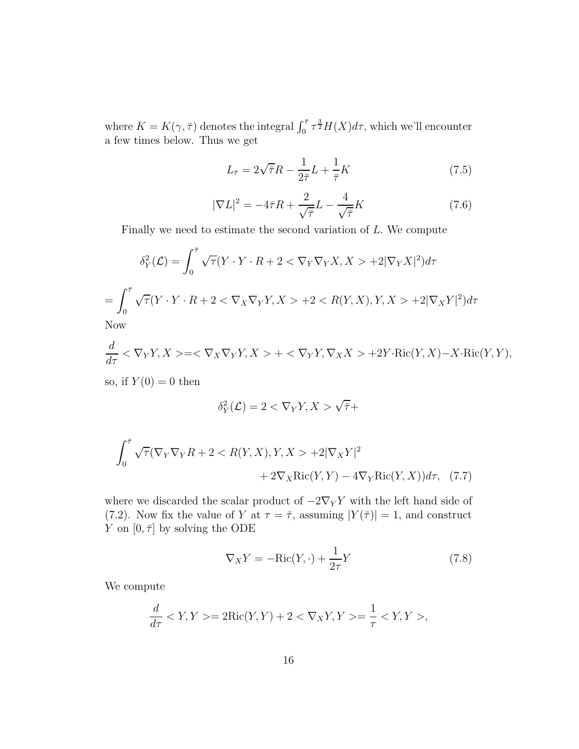where  $K = K(\gamma, \bar{\tau})$  denotes the integral  $\int_0^{\bar{\tau}} \tau^{\frac{3}{2}} H(X) d\tau$ , which we'll encounter a few times below. Thus we get

$$
L_{\bar{\tau}} = 2\sqrt{\bar{\tau}}R - \frac{1}{2\bar{\tau}}L + \frac{1}{\bar{\tau}}K\tag{7.5}
$$

$$
|\nabla L|^2 = -4\bar{\tau}R + \frac{2}{\sqrt{\bar{\tau}}}L - \frac{4}{\sqrt{\bar{\tau}}}K\tag{7.6}
$$

Finally we need to estimate the second variation of L. We compute

$$
\delta_Y^2(\mathcal{L}) = \int_0^{\bar{\tau}} \sqrt{\tau} (Y \cdot Y \cdot R + 2 \langle \nabla_Y \nabla_Y X, X \rangle + 2 |\nabla_Y X|^2) d\tau
$$
  
= 
$$
\int_0^{\bar{\tau}} \sqrt{\tau} (Y \cdot Y \cdot R + 2 \langle \nabla_X \nabla_Y Y, X \rangle + 2 \langle R(Y, X), Y, X \rangle + 2 |\nabla_X Y|^2) d\tau
$$
  
Now

Now

$$
\frac{d}{d\tau} < \nabla_Y Y, X \geq \leq \nabla_X \nabla_Y Y, X \geq \frac{1}{\tau} < \nabla_Y Y, \nabla_X X \geq \frac{1}{2} 2Y \cdot \text{Ric}(Y, X) - X \cdot \text{Ric}(Y, Y),
$$

so, if  $Y(0) = 0$  then

$$
\delta_Y^2(\mathcal{L}) = 2 < \nabla_Y Y, X > \sqrt{\bar{\tau}} +
$$

$$
\int_0^{\bar{\tau}} \sqrt{\tau} (\nabla_Y \nabla_Y R + 2 < R(Y, X), Y, X > +2|\nabla_X Y|^2 + 2\nabla_X \text{Ric}(Y, Y) - 4\nabla_Y \text{Ric}(Y, X)) d\tau, \tag{7.7}
$$

where we discarded the scalar product of  $-2\nabla_Y Y$  with the left hand side of (7.2). Now fix the value of Y at  $\tau = \overline{\tau}$ , assuming  $|Y(\overline{\tau})| = 1$ , and construct Y on  $[0, \bar{\tau}]$  by solving the ODE

$$
\nabla_X Y = -\text{Ric}(Y, \cdot) + \frac{1}{2\tau} Y \tag{7.8}
$$

We compute

$$
\frac{d}{d\tau} < Y, Y > = 2\text{Ric}(Y, Y) + 2 < \nabla_X Y, Y > = \frac{1}{\tau} < Y, Y > \text{,}
$$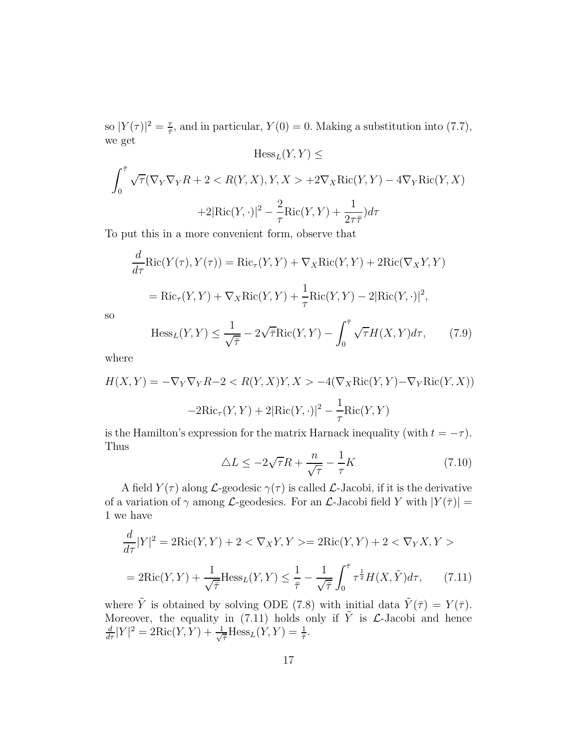so  $|Y(\tau)|^2 = \frac{\tau}{\overline{\tau}}$  $\frac{\tau}{\overline{\tau}}$ , and in particular,  $Y(0) = 0$ . Making a substitution into (7.7), we get  $Hess_L(Y, Y) <$ 

$$
\int_0^{\bar{\tau}} \sqrt{\tau} (\nabla_Y \nabla_Y R + 2 < R(Y, X), Y, X > +2\nabla_X \text{Ric}(Y, Y) - 4\nabla_Y \text{Ric}(Y, X) + 2|\text{Ric}(Y, \cdot)|^2 - \frac{2}{\tau} \text{Ric}(Y, Y) + \frac{1}{2\tau \bar{\tau}} d\tau
$$

To put this in a more convenient form, observe that

$$
\frac{d}{d\tau}\text{Ric}(Y(\tau), Y(\tau)) = \text{Ric}_{\tau}(Y, Y) + \nabla_X \text{Ric}(Y, Y) + 2\text{Ric}(\nabla_X Y, Y)
$$

$$
= \text{Ric}_{\tau}(Y, Y) + \nabla_X \text{Ric}(Y, Y) + \frac{1}{\tau}\text{Ric}(Y, Y) - 2|\text{Ric}(Y, \cdot)|^2,
$$

so

$$
\text{Hess}_L(Y,Y) \le \frac{1}{\sqrt{\overline{\tau}}} - 2\sqrt{\overline{\tau}}\text{Ric}(Y,Y) - \int_0^{\overline{\tau}} \sqrt{\tau}H(X,Y)d\tau, \qquad (7.9)
$$

where

$$
H(X,Y) = -\nabla_Y \nabla_Y R - 2 < R(Y,X)Y, X > -4(\nabla_X \text{Ric}(Y,Y) - \nabla_Y \text{Ric}(Y,X))
$$
\n
$$
-2\text{Ric}_{\tau}(Y,Y) + 2|\text{Ric}(Y,\cdot)|^2 - \frac{1}{\tau}\text{Ric}(Y,Y)
$$

is the Hamilton's expression for the matrix Harnack inequality (with  $t = -\tau$ ). Thus

$$
\Delta L \le -2\sqrt{\tau}R + \frac{n}{\sqrt{\tau}} - \frac{1}{\tau}K\tag{7.10}
$$

A field  $Y(\tau)$  along  $\mathcal{L}$ -geodesic  $\gamma(\tau)$  is called  $\mathcal{L}$ -Jacobi, if it is the derivative of a variation of  $\gamma$  among  $\mathcal{L}$ -geodesics. For an  $\mathcal{L}$ -Jacobi field Y with  $|Y(\overline{\tau})|$  = 1 we have

$$
\frac{d}{d\tau}|Y|^2 = 2\text{Ric}(Y,Y) + 2 < \nabla_X Y, Y > = 2\text{Ric}(Y,Y) + 2 < \nabla_Y X, Y >
$$
\n
$$
= 2\text{Ric}(Y,Y) + \frac{1}{\sqrt{\overline{\tau}}} \text{Hess}_L(Y,Y) \le \frac{1}{\overline{\tau}} - \frac{1}{\sqrt{\overline{\tau}}} \int_0^{\overline{\tau}} \tau^{\frac{1}{2}} H(X,\tilde{Y}) d\tau, \tag{7.11}
$$

where  $\tilde{Y}$  is obtained by solving ODE (7.8) with initial data  $\tilde{Y}(\bar{\tau}) = Y(\bar{\tau})$ . Moreover, the equality in (7.11) holds only if  $\tilde{Y}$  is  $\mathcal{L}$ -Jacobi and hence  $\frac{d}{d\tau}|Y|^2 = 2{\rm Ric}(Y, Y) + \frac{1}{\sqrt{2}}$  $\frac{1}{\overline{\tau}}\text{Hess}_L(Y,Y) = \frac{1}{\overline{\tau}}.$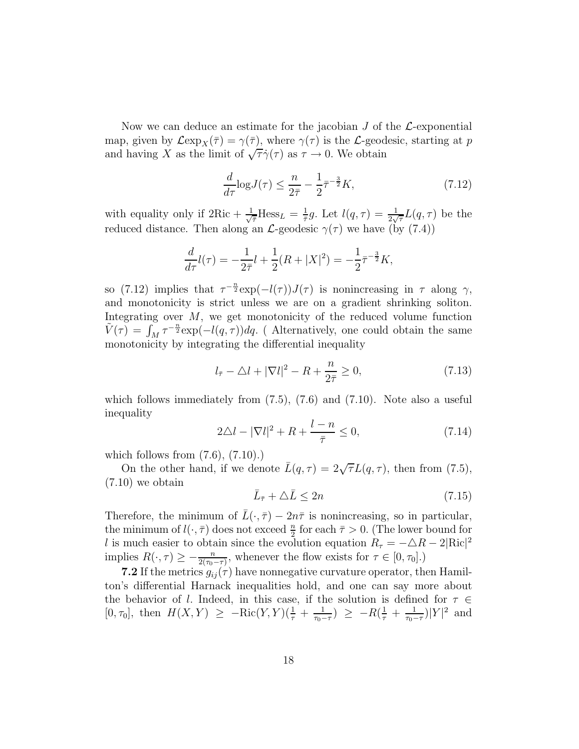Now we can deduce an estimate for the jacobian  $J$  of the  $\mathcal{L}$ -exponential map, given by  $\mathcal{L}exp_X(\bar{\tau}) = \gamma(\bar{\tau})$ , where  $\gamma(\tau)$  is the  $\mathcal{L}$ -geodesic, starting at p and having X as the limit of  $\sqrt{\tau} \dot{\gamma}(\tau)$  as  $\tau \to 0$ . We obtain

$$
\frac{d}{d\tau}\log J(\tau) \le \frac{n}{2\bar{\tau}} - \frac{1}{2}\bar{\tau}^{-\frac{3}{2}}K,\tag{7.12}
$$

with equality only if  $2\text{Ric} + \frac{1}{\sqrt{2}}$  $\frac{1}{\bar{\tau}}$ Hess<sub>L</sub> =  $\frac{1}{\bar{\tau}}$  $\frac{1}{\tau}g$ . Let  $l(q,\tau) = \frac{1}{2\sqrt{\tau}}L(q,\tau)$  be the reduced distance. Then along an  $\mathcal{L}$ -geodesic  $\gamma(\tau)$  we have (by (7.4))

$$
\frac{d}{d\tau}l(\tau) = -\frac{1}{2\bar{\tau}}l + \frac{1}{2}(R + |X|^2) = -\frac{1}{2}\bar{\tau}^{-\frac{3}{2}}K,
$$

so (7.12) implies that  $\tau^{-\frac{n}{2}} \exp(-l(\tau)) J(\tau)$  is nonincreasing in  $\tau$  along  $\gamma$ , and monotonicity is strict unless we are on a gradient shrinking soliton. Integrating over  $M$ , we get monotonicity of the reduced volume function  $\tilde{V}(\tau) = \int_M^{\infty} \tau^{-\frac{n}{2}} \exp(-l(q,\tau))dq$ . (Alternatively, one could obtain the same monotonicity by integrating the differential inequality

$$
l_{\bar{\tau}} - \triangle l + |\nabla l|^2 - R + \frac{n}{2\bar{\tau}} \ge 0,
$$
\n(7.13)

which follows immediately from  $(7.5)$ ,  $(7.6)$  and  $(7.10)$ . Note also a useful inequality

$$
2\Delta l - |\nabla l|^2 + R + \frac{l-n}{\bar{\tau}} \le 0,\tag{7.14}
$$

which follows from  $(7.6)$ ,  $(7.10)$ .

On the other hand, if we denote  $\bar{L}(q, \tau) = 2\sqrt{\tau}L(q, \tau)$ , then from (7.5), (7.10) we obtain

$$
\bar{L}_{\bar{\tau}} + \Delta \bar{L} \le 2n \tag{7.15}
$$

Therefore, the minimum of  $\bar{L}(\cdot, \bar{\tau}) - 2n\bar{\tau}$  is nonincreasing, so in particular, the minimum of  $l(\cdot, \bar{\tau})$  does not exceed  $\frac{n}{2}$  for each  $\bar{\tau} > 0$ . (The lower bound for l is much easier to obtain since the evolution equation  $R_{\tau} = -\Delta R - 2|\text{Ric}|^2$ implies  $R(\cdot, \tau) \geq -\frac{n}{2(\tau_0 - \tau)}$ , whenever the flow exists for  $\tau \in [0, \tau_0]$ .)

**7.2** If the metrics  $g_{ij}(\tau)$  have nonnegative curvature operator, then Hamilton's differential Harnack inequalities hold, and one can say more about the behavior of l. Indeed, in this case, if the solution is defined for  $\tau \in$ [0,  $\tau_0$ ], then  $H(X,Y) \geq -\text{Ric}(Y,Y)(\frac{1}{\tau} + \frac{1}{\tau_0 - \tau_0})$  $\frac{1}{\tau_0 - \tau}$ )  $\geq -R(\frac{1}{\tau} + \frac{1}{\tau_0 - \tau_0})$  $\frac{1}{\tau_0 - \tau}$ )|Y|<sup>2</sup> and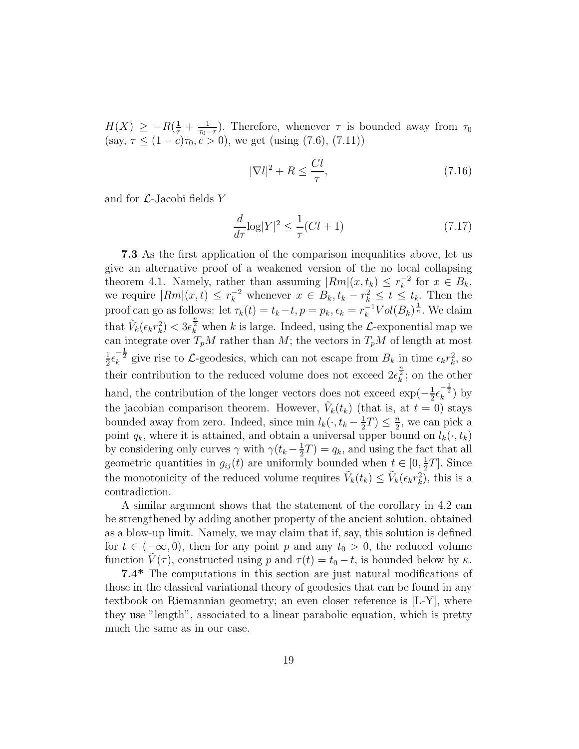$H(X) \ge -R(\frac{1}{\tau} + \frac{1}{\tau_0 - \tau_0})$  $\frac{1}{\tau_{0}-\tau}$ ). Therefore, whenever  $\tau$  is bounded away from  $\tau_{0}$ (say,  $\tau \le (1 - c)\tau_0, c > 0$ ), we get (using (7.6), (7.11))

$$
|\nabla l|^2 + R \le \frac{Cl}{\tau},\tag{7.16}
$$

and for  $\mathcal{L}$ -Jacobi fields Y

$$
\frac{d}{d\tau}\log|Y|^2 \le \frac{1}{\tau}(Cl+1)
$$
\n(7.17)

7.3 As the first application of the comparison inequalities above, let us give an alternative proof of a weakened version of the no local collapsing theorem 4.1. Namely, rather than assuming  $|Rm|(x, t_k) \leq r_k^{-2}$  for  $x \in B_k$ , we require  $|Rm|(x,t) \leq r_k^{-2}$  whenever  $x \in B_k, t_k - r_k^2 \leq t \leq t_k$ . Then the proof can go as follows: let  $\tau_k(t) = t_k - t$ ,  $p = p_k$ ,  $\epsilon_k = r_k^{-1}Vol(B_k)^{\frac{1}{n}}$ . We claim that  $\tilde{V}_k(\epsilon_k r_k^2) < 3\epsilon_k^{\frac{n}{2}}$  when k is large. Indeed, using the  $\mathcal{L}$ -exponential map we can integrate over  $T_pM$  rather than M; the vectors in  $T_pM$  of length at most 1  $\frac{1}{2}\epsilon_k^{-\frac{1}{2}}$  give rise to  $\mathcal{L}$ -geodesics, which can not escape from  $B_k$  in time  $\epsilon_k r_k^2$ , so their contribution to the reduced volume does not exceed  $2\epsilon_k^2$ ; on the other hand, the contribution of the longer vectors does not exceed  $\exp(-\frac{1}{2})$  $\frac{1}{2} \epsilon_k^{-\frac{1}{2}}$ ) by the jacobian comparison theorem. However,  $\tilde{V}_k(t_k)$  (that is, at  $t=0$ ) stays bounded away from zero. Indeed, since min  $l_k(\cdot, t_k - \frac{1}{2})$  $\frac{1}{2}T) \leq \frac{n}{2}$  $\frac{n}{2}$ , we can pick a point  $q_k$ , where it is attained, and obtain a universal upper bound on  $l_k(\cdot, t_k)$ by considering only curves  $\gamma$  with  $\gamma(t_k - \frac{1}{2})$  $(\frac{1}{2}T) = q_k$ , and using the fact that all geometric quantities in  $g_{ij}(t)$  are uniformly bounded when  $t \in [0, \frac{1}{2}]$  $\frac{1}{2}T$ . Since the monotonicity of the reduced volume requires  $\tilde{V}_k(t_k) \leq \tilde{V}_k(\epsilon_k r_k^2)$ , this is a contradiction.

A similar argument shows that the statement of the corollary in 4.2 can be strengthened by adding another property of the ancient solution, obtained as a blow-up limit. Namely, we may claim that if, say, this solution is defined for  $t \in (-\infty, 0)$ , then for any point p and any  $t_0 > 0$ , the reduced volume function  $\tilde{V}(\tau)$ , constructed using p and  $\tau(t) = t_0 - t$ , is bounded below by  $\kappa$ .

7.4\* The computations in this section are just natural modifications of those in the classical variational theory of geodesics that can be found in any textbook on Riemannian geometry; an even closer reference is [L-Y], where they use "length", associated to a linear parabolic equation, which is pretty much the same as in our case.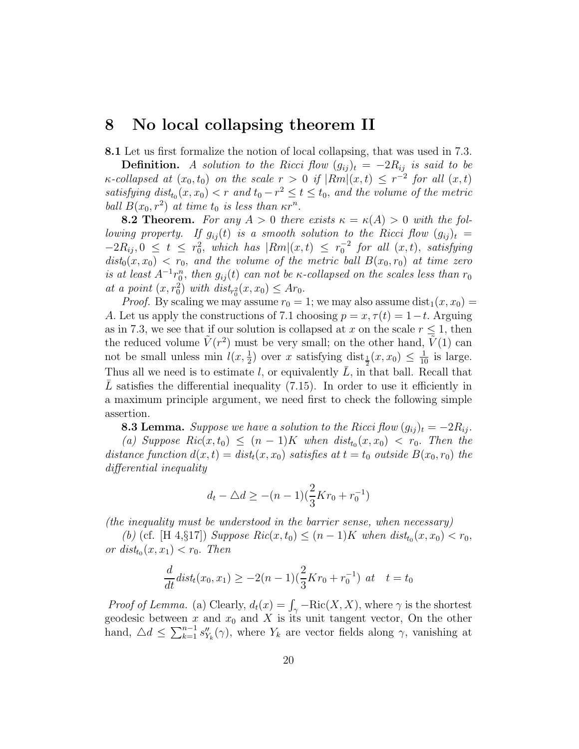#### 8 No local collapsing theorem II

8.1 Let us first formalize the notion of local collapsing, that was used in 7.3.

**Definition.** A solution to the Ricci flow  $(g_{ij})_t = -2R_{ij}$  is said to be  $\kappa$ -collapsed at  $(x_0, t_0)$  on the scale  $r > 0$  if  $|Rm|(x, t) \leq r^{-2}$  for all  $(x, t)$ satisfying  $dist_0(x, x_0) < r$  and  $t_0 - r^2 \le t \le t_0$ , and the volume of the metric ball  $B(x_0, r^2)$  at time  $t_0$  is less than  $\kappa r^n$ .

**8.2 Theorem.** For any  $A > 0$  there exists  $\kappa = \kappa(A) > 0$  with the following property. If  $g_{ij}(t)$  is a smooth solution to the Ricci flow  $(g_{ij})_t =$  $-2R_{ij}, 0 \leq t \leq r_0^2$ , which has  $|Rm|(x,t) \leq r_0^{-2}$  for all  $(x,t)$ , satisfying  $dist_0(x, x_0) < r_0$ , and the volume of the metric ball  $B(x_0, r_0)$  at time zero is at least  $A^{-1}r_0^n$ , then  $g_{ij}(t)$  can not be  $\kappa$ -collapsed on the scales less than  $r_0$ at a point  $(x, r_0^2)$  with  $dist_{r_0^2}(x, x_0) \leq Ar_0$ .

*Proof.* By scaling we may assume  $r_0 = 1$ ; we may also assume dist<sub>1</sub> $(x, x_0)$  = A. Let us apply the constructions of 7.1 choosing  $p = x, \tau(t) = 1-t$ . Arguing as in 7.3, we see that if our solution is collapsed at x on the scale  $r \leq 1$ , then the reduced volume  $\tilde{V}(r^2)$  must be very small; on the other hand,  $\tilde{V}(1)$  can not be small unless min  $l(x, \frac{1}{2})$  over x satisfying  $dist_{\frac{1}{2}}(x, x_0) \leq \frac{1}{10}$  is large. Thus all we need is to estimate l, or equivalently  $L$ , in that ball. Recall that L satisfies the differential inequality  $(7.15)$ . In order to use it efficiently in a maximum principle argument, we need first to check the following simple assertion.

**8.3 Lemma.** Suppose we have a solution to the Ricci flow  $(g_{ii})_t = -2R_{ii}$ . (a) Suppose  $Ric(x,t_0) \leq (n-1)K$  when  $dist_{t_0}(x,x_0) < r_0$ . Then the distance function  $d(x,t) = dist_t(x,x_0)$  satisfies at  $t = t_0$  outside  $B(x_0, r_0)$  the differential inequality

$$
d_t - \triangle d \ge -(n-1)\left(\frac{2}{3}Kr_0 + r_0^{-1}\right)
$$

(the inequality must be understood in the barrier sense, when necessary)

(b) (cf. [H 4,§17]) Suppose  $Ric(x, t_0) \le (n-1)K$  when  $dist_{t_0}(x, x_0) < r_0$ , or  $dist_{t_0}(x, x_1) < r_0$ . Then

$$
\frac{d}{dt} dist_t(x_0, x_1) \ge -2(n-1)\left(\frac{2}{3}Kr_0 + r_0^{-1}\right) \, at \quad t = t_0
$$

*Proof of Lemma.* (a) Clearly,  $d_t(x) = \int_{\gamma} -\text{Ric}(X, X)$ , where  $\gamma$  is the shortest geodesic between x and  $x_0$  and X is its unit tangent vector, On the other hand,  $\Delta d \leq \sum_{k=1}^{n-1} s_{Y_k}''(\gamma)$ , where  $Y_k$  are vector fields along  $\gamma$ , vanishing at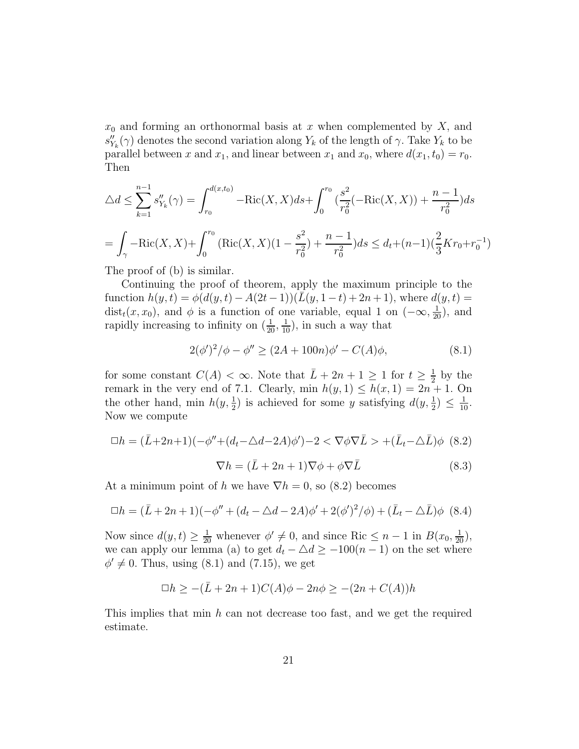$x_0$  and forming an orthonormal basis at x when complemented by X, and  $s''_{Y_k}(\gamma)$  denotes the second variation along  $Y_k$  of the length of  $\gamma$ . Take  $Y_k$  to be parallel between x and  $x_1$ , and linear between  $x_1$  and  $x_0$ , where  $d(x_1, t_0) = r_0$ . Then

$$
\Delta d \le \sum_{k=1}^{n-1} s_{Y_k}''(\gamma) = \int_{r_0}^{d(x,t_0)} -\text{Ric}(X, X)ds + \int_0^{r_0} \left(\frac{s^2}{r_0^2}(-\text{Ric}(X, X)) + \frac{n-1}{r_0^2}\right)ds
$$
  
= 
$$
\int_{\gamma} -\text{Ric}(X, X) + \int_0^{r_0} (\text{Ric}(X, X)(1 - \frac{s^2}{r_0^2}) + \frac{n-1}{r_0^2})ds \le d_t + (n-1)\left(\frac{2}{3}Kr_0 + r_0^{-1}\right)
$$

The proof of (b) is similar.

Continuing the proof of theorem, apply the maximum principle to the function  $h(y, t) = \phi(d(y, t) - A(2t-1))(L(y, 1-t) + 2n+1)$ , where  $d(y, t) =$ dist<sub>t</sub> $(x, x_0)$ , and  $\phi$  is a function of one variable, equal 1 on  $(-\infty, \frac{1}{20})$ , and rapidly increasing to infinity on  $(\frac{1}{20}, \frac{1}{10})$ , in such a way that

$$
2(\phi')^2/\phi - \phi'' \ge (2A + 100n)\phi' - C(A)\phi,
$$
\n(8.1)

for some constant  $C(A) < \infty$ . Note that  $\overline{L} + 2n + 1 \geq 1$  for  $t \geq \frac{1}{2}$  $\frac{1}{2}$  by the remark in the very end of 7.1. Clearly, min  $h(y, 1) \leq h(x, 1) = 2n + 1$ . On the other hand, min  $h(y, \frac{1}{2})$  is achieved for some y satisfying  $d(y, \frac{1}{2}) \leq \frac{1}{10}$ . Now we compute

$$
\Box h = (\bar{L} + 2n + 1)(-\phi'' + (d_t - \Delta d - 2A)\phi') - 2 < \nabla \phi \nabla \bar{L} > + (\bar{L}_t - \Delta \bar{L})\phi \tag{8.2}
$$
\n
$$
\nabla h = (\bar{L} + 2n + 1)\nabla \phi + \phi \nabla \bar{L} \tag{8.3}
$$

At a minimum point of h we have  $\nabla h = 0$ , so (8.2) becomes

$$
\Box h = (\bar{L} + 2n + 1)(-\phi'' + (d_t - \Delta d - 2A)\phi' + 2(\phi')^2/\phi) + (\bar{L}_t - \Delta \bar{L})\phi
$$
 (8.4)

Now since  $d(y, t) \geq \frac{1}{20}$  whenever  $\phi' \neq 0$ , and since Ric  $\leq n - 1$  in  $B(x_0, \frac{1}{20})$ , we can apply our lemma (a) to get  $d_t - \Delta d \ge -100(n-1)$  on the set where  $\phi' \neq 0$ . Thus, using (8.1) and (7.15), we get

$$
\Box h \ge -(L+2n+1)C(A)\phi - 2n\phi \ge -(2n+C(A))h
$$

This implies that min h can not decrease too fast, and we get the required estimate.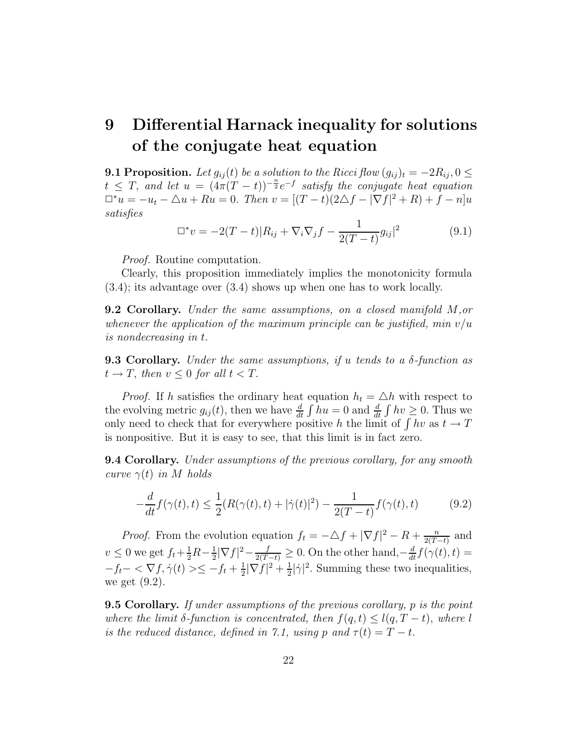## 9 Differential Harnack inequality for solutions of the conjugate heat equation

**9.1 Proposition.** Let  $g_{ij}(t)$  be a solution to the Ricci flow  $(g_{ij})_t = -2R_{ij}$ ,  $0 \leq$  $t \leq T$ , and let  $u = (4\pi(T - t))^{-\frac{n}{2}}e^{-f}$  satisfy the conjugate heat equation  $\Box^* u = -u_t - \triangle u + R u = 0.$  Then  $v = [(T - t)(2\triangle f - |\nabla f|^2 + R) + f - n]u$ satisfies

$$
\Box^* v = -2(T - t) |R_{ij} + \nabla_i \nabla_j f - \frac{1}{2(T - t)} g_{ij}|^2
$$
\n(9.1)

Proof. Routine computation.

Clearly, this proposition immediately implies the monotonicity formula (3.4); its advantage over (3.4) shows up when one has to work locally.

**9.2 Corollary.** Under the same assumptions, on a closed manifold M, or whenever the application of the maximum principle can be justified, min  $v/u$ is nondecreasing in t.

**9.3 Corollary.** Under the same assumptions, if u tends to a  $\delta$ -function as  $t \to T$ , then  $v \leq 0$  for all  $t < T$ .

*Proof.* If h satisfies the ordinary heat equation  $h_t = \Delta h$  with respect to the evolving metric  $g_{ij}(t)$ , then we have  $\frac{d}{dt} \int h u = 0$  and  $\frac{d}{dt} \int h v \geq 0$ . Thus we only need to check that for everywhere positive h the limit of  $\int hv$  as  $t \to T$ is nonpositive. But it is easy to see, that this limit is in fact zero.

**9.4 Corollary.** Under assumptions of the previous corollary, for any smooth curve  $\gamma(t)$  in M holds

$$
-\frac{d}{dt}f(\gamma(t),t) \le \frac{1}{2}(R(\gamma(t),t) + |\dot{\gamma}(t)|^2) - \frac{1}{2(T-t)}f(\gamma(t),t)
$$
(9.2)

*Proof.* From the evolution equation  $f_t = -\Delta f + |\nabla f|^2 - R + \frac{n}{2(T-1)}$  $\frac{n}{2(T-t)}$  and  $v \leq 0$  we get  $f_t + \frac{1}{2}R - \frac{1}{2}$  $\frac{1}{2}|\nabla f|^2 - \frac{f}{2(T-t)} \geq 0$ . On the other hand, $-\frac{d}{dt}f(\gamma(t), t) =$  $-f_t - \langle \nabla f, \dot{\gamma}(t) \rangle \leq -f_t + \frac{1}{2}$  $\frac{1}{2}|\nabla f|^2 + \frac{1}{2}$  $\frac{1}{2}|\dot{\gamma}|^2$ . Summing these two inequalities, we get (9.2).

**9.5 Corollary.** If under assumptions of the previous corollary, p is the point where the limit  $\delta$ -function is concentrated, then  $f(q, t) \leq l(q, T - t)$ , where l is the reduced distance, defined in 7.1, using p and  $\tau(t) = T - t$ .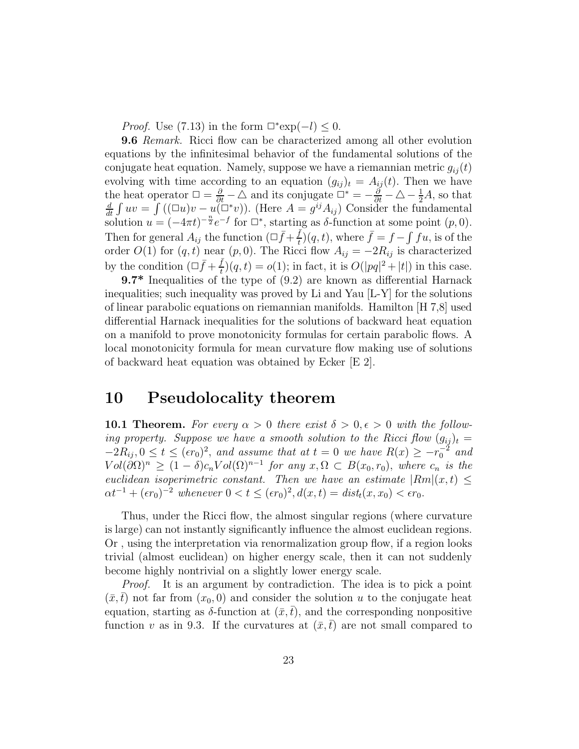*Proof.* Use (7.13) in the form  $\Box$ <sup>\*</sup> $\exp(-l) \leq 0$ .

**9.6** Remark. Ricci flow can be characterized among all other evolution equations by the infinitesimal behavior of the fundamental solutions of the conjugate heat equation. Namely, suppose we have a riemannian metric  $g_{ij}(t)$ evolving with time according to an equation  $(g_{ij})_t = A_{ij}(t)$ . Then we have the heat operator  $\Box = \frac{\partial}{\partial t} - \triangle$  and its conjugate  $\Box^* = -\frac{\partial}{\partial t} - \triangle - \frac{1}{2}A$ , so that d  $\frac{d}{dt} \int uv = \int ((\Box u)v - u(\Box^* v)).$  (Here  $A = g^{ij}A_{ij}$ ) Consider the fundamental solution  $u = (-4\pi t)^{-\frac{n}{2}}e^{-f}$  for  $\Box^*$ , starting as  $\delta$ -function at some point  $(p, 0)$ . Then for general  $A_{ij}$  the function  $(\Box \bar{f} + \frac{\bar{f}}{t})$  $\bar{f}_t(q,t)$ , where  $\bar{f} = f - \int f u$ , is of the order  $O(1)$  for  $(q, t)$  near  $(p, 0)$ . The Ricci flow  $A_{ij} = -2R_{ij}$  is characterized by the condition  $(\Box \bar{f} + \frac{\bar{f}}{t})$  $\frac{f}{t}$  $(q, t) = o(1)$ ; in fact, it is  $O(|pq|^2 + |t|)$  in this case.

9.7\* Inequalities of the type of (9.2) are known as differential Harnack inequalities; such inequality was proved by Li and Yau [L-Y] for the solutions of linear parabolic equations on riemannian manifolds. Hamilton [H 7,8] used differential Harnack inequalities for the solutions of backward heat equation on a manifold to prove monotonicity formulas for certain parabolic flows. A local monotonicity formula for mean curvature flow making use of solutions of backward heat equation was obtained by Ecker [E 2].

### 10 Pseudolocality theorem

**10.1 Theorem.** For every  $\alpha > 0$  there exist  $\delta > 0, \epsilon > 0$  with the following property. Suppose we have a smooth solution to the Ricci flow  $(g_{ij})_t =$  $-2R_{ij}, 0 \le t \le (e_0)^2$ , and assume that at  $t = 0$  we have  $R(x) \ge -r_0^{-2}$  and  $Vol(\partial\Omega)^n \geq (1-\delta)c_nVol(\Omega)^{n-1}$  for any  $x, \Omega \subset B(x_0, r_0)$ , where  $c_n$  is the euclidean isoperimetric constant. Then we have an estimate  $|Rm|(x,t) \leq$  $\alpha t^{-1} + (\epsilon r_0)^{-2}$  whenever  $0 < t \le (\epsilon r_0)^2$ ,  $d(x, t) = dist_t(x, x_0) < \epsilon r_0$ .

Thus, under the Ricci flow, the almost singular regions (where curvature is large) can not instantly significantly influence the almost euclidean regions. Or , using the interpretation via renormalization group flow, if a region looks trivial (almost euclidean) on higher energy scale, then it can not suddenly become highly nontrivial on a slightly lower energy scale.

Proof. It is an argument by contradiction. The idea is to pick a point  $(\bar{x},\bar{t})$  not far from  $(x_0,0)$  and consider the solution u to the conjugate heat equation, starting as  $\delta$ -function at  $(\bar{x},t)$ , and the corresponding nonpositive function v as in 9.3. If the curvatures at  $(\bar{x},\bar{t})$  are not small compared to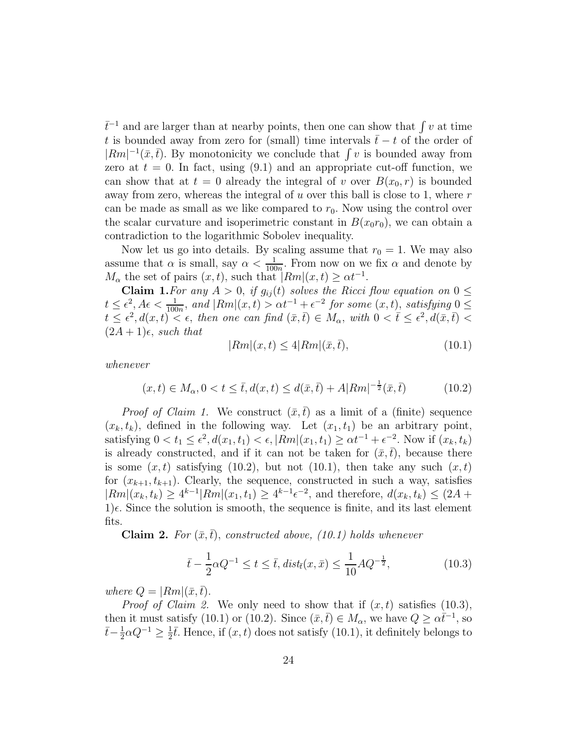$\bar{t}^{-1}$  and are larger than at nearby points, then one can show that  $\int v$  at time t is bounded away from zero for (small) time intervals  $\bar{t} - t$  of the order of  $|Rm|^{-1}(\bar{x}, \bar{t})$ . By monotonicity we conclude that  $\int v$  is bounded away from zero at  $t = 0$ . In fact, using (9.1) and an appropriate cut-off function, we can show that at  $t = 0$  already the integral of v over  $B(x_0, r)$  is bounded away from zero, whereas the integral of  $u$  over this ball is close to 1, where  $r$ can be made as small as we like compared to  $r_0$ . Now using the control over the scalar curvature and isoperimetric constant in  $B(x_0r_0)$ , we can obtain a contradiction to the logarithmic Sobolev inequality.

Now let us go into details. By scaling assume that  $r_0 = 1$ . We may also assume that  $\alpha$  is small, say  $\alpha < \frac{1}{100n}$ . From now on we fix  $\alpha$  and denote by  $M_{\alpha}$  the set of pairs  $(x, t)$ , such that  $|Rm|(x, t) \ge \alpha t^{-1}$ .

Claim 1. For any  $A > 0$ , if  $g_{ij}(t)$  solves the Ricci flow equation on  $0 \leq$  $t \leq \epsilon^2$ ,  $A\epsilon < \frac{1}{100n}$ , and  $|Rm|(x,t) > \alpha t^{-1} + \epsilon^{-2}$  for some  $(x,t)$ , satisfying  $0 \leq$  $t \leq \epsilon^2, d(x,t) < \epsilon$ , then one can find  $(\bar{x}, \bar{t}) \in M_\alpha$ , with  $0 < \bar{t} \leq \epsilon^2, d(\bar{x}, \bar{t}) <$  $(2A+1)\epsilon$ , such that

$$
|Rm|(x,t) \le 4|Rm|(\bar{x},\bar{t}),\tag{10.1}
$$

whenever

$$
(x,t) \in M_{\alpha}, 0 < t \le \bar{t}, d(x,t) \le d(\bar{x}, \bar{t}) + A|Rm|^{-\frac{1}{2}}(\bar{x}, \bar{t})
$$
\n(10.2)

*Proof of Claim 1.* We construct  $(\bar{x}, \bar{t})$  as a limit of a (finite) sequence  $(x_k, t_k)$ , defined in the following way. Let  $(x_1, t_1)$  be an arbitrary point, satisfying  $0 < t_1 \leq \epsilon^2$ ,  $d(x_1, t_1) < \epsilon$ ,  $|Rm|(x_1, t_1) \geq \alpha t^{-1} + \epsilon^{-2}$ . Now if  $(x_k, t_k)$ is already constructed, and if it can not be taken for  $(\bar{x}, \bar{t})$ , because there is some  $(x, t)$  satisfying (10.2), but not (10.1), then take any such  $(x, t)$ for  $(x_{k+1}, t_{k+1})$ . Clearly, the sequence, constructed in such a way, satisfies  $|Rm|(x_k, t_k) \ge 4^{k-1}|Rm|(x_1, t_1) \ge 4^{k-1}\epsilon^{-2}$ , and therefore,  $d(x_k, t_k) \le (2A +$  $1)\epsilon$ . Since the solution is smooth, the sequence is finite, and its last element fits.

Claim 2. For  $(\bar{x},\bar{t})$ , constructed above, (10.1) holds whenever

$$
\bar{t} - \frac{1}{2}\alpha Q^{-1} \le t \le \bar{t}, \, dist_{\bar{t}}(x,\bar{x}) \le \frac{1}{10}AQ^{-\frac{1}{2}},\tag{10.3}
$$

where  $Q = |Rm|(\bar{x}, t)$ .

*Proof of Claim 2.* We only need to show that if  $(x, t)$  satisfies (10.3), then it must satisfy (10.1) or (10.2). Since  $(\bar{x}, \bar{t}) \in M_\alpha$ , we have  $Q \geq \alpha \bar{t}^{-1}$ , so  $\bar{t}$  –  $\frac{1}{2}$  $\frac{1}{2} \alpha Q^{-1} \geq \frac{1}{2}$  $\frac{1}{2}\bar{t}$ . Hence, if  $(x, t)$  does not satisfy  $(10.1)$ , it definitely belongs to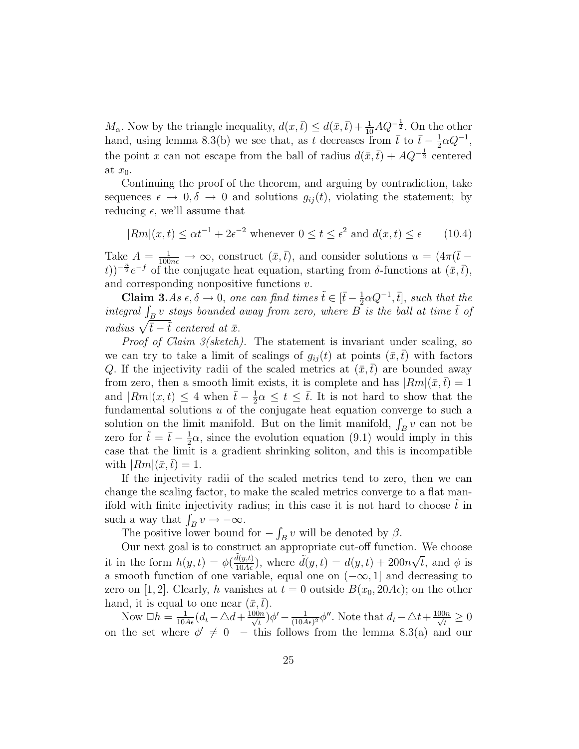$M_{\alpha}$ . Now by the triangle inequality,  $d(x,\bar{t}) \leq d(\bar{x},\bar{t}) + \frac{1}{10}AQ^{-\frac{1}{2}}$ . On the other hand, using lemma 8.3(b) we see that, as t decreases from  $\bar{t}$  to  $\bar{t} - \frac{1}{2}$  $\frac{1}{2}\alpha Q^{-1},$ the point x can not escape from the ball of radius  $d(\bar{x}, \bar{t}) + AQ^{-\frac{1}{2}}$  centered at  $x_0$ .

Continuing the proof of the theorem, and arguing by contradiction, take sequences  $\epsilon \to 0, \delta \to 0$  and solutions  $g_{ij}(t)$ , violating the statement; by reducing  $\epsilon$ , we'll assume that

$$
|Rm|(x,t) \le \alpha t^{-1} + 2\epsilon^{-2} \text{ whenever } 0 \le t \le \epsilon^2 \text{ and } d(x,t) \le \epsilon \qquad (10.4)
$$

Take  $A = \frac{1}{100n\epsilon} \to \infty$ , construct  $(\bar{x}, \bar{t})$ , and consider solutions  $u = (4\pi(\bar{t}$ t))<sup>- $\frac{n}{2}e^{-f}$  of the conjugate heat equation, starting from δ-functions at  $(\bar{x},\bar{t})$ ,</sup> and corresponding nonpositive functions v.

Claim 3. $As \epsilon, \delta \rightarrow 0$ , one can find times  $\tilde{t} \in [\bar{t} - \frac{1}{2}]$  $\frac{1}{2} \alpha Q^{-1}, \bar{t}$ , such that the integral  $\int_B v$  stays bounded away from zero, where  $B$  is the ball at time  $\tilde{t}$  of radius  $\sqrt{\bar{t}-\tilde{t}}$  centered at  $\bar{x}$ .

*Proof of Claim 3(sketch)*. The statement is invariant under scaling, so we can try to take a limit of scalings of  $g_{ij}(t)$  at points  $(\bar{x},\bar{t})$  with factors Q. If the injectivity radii of the scaled metrics at  $(\bar{x}, \bar{t})$  are bounded away from zero, then a smooth limit exists, it is complete and has  $|Rm|(\bar{x},\bar{t})=1$ and  $|Rm|(x,t) \leq 4$  when  $\bar{t} - \frac{1}{2}$  $\frac{1}{2}\alpha \leq t \leq \overline{t}$ . It is not hard to show that the fundamental solutions  $u$  of the conjugate heat equation converge to such a solution on the limit manifold. But on the limit manifold,  $\int_B v$  can not be zero for  $\tilde{t} = \bar{t} - \frac{1}{2}$  $\frac{1}{2}\alpha$ , since the evolution equation (9.1) would imply in this case that the limit is a gradient shrinking soliton, and this is incompatible with  $|Rm|(\bar{x},\bar{t})=1$ .

If the injectivity radii of the scaled metrics tend to zero, then we can change the scaling factor, to make the scaled metrics converge to a flat manifold with finite injectivity radius; in this case it is not hard to choose  $\tilde{t}$  in such a way that  $\int_B v \to -\infty$ .

The positive lower bound for  $-\int_B v$  will be denoted by  $\beta$ .

Our next goal is to construct an appropriate cut-off function. We choose it in the form  $h(y,t) = \phi(\frac{\tilde{d}(y,t)}{10A\epsilon})$ , where  $\tilde{d}(y,t) = d(y,t) + 200n\sqrt{t}$ , and  $\phi$  is a smooth function of one variable, equal one on  $(-\infty, 1]$  and decreasing to zero on [1, 2]. Clearly, h vanishes at  $t = 0$  outside  $B(x_0, 20A\epsilon)$ ; on the other hand, it is equal to one near  $(\bar{x}, \bar{t})$ .

Now  $\Box h = \frac{1}{10A\epsilon}(d_t - \triangle d + \frac{100n}{\sqrt{t}})\phi' - \frac{1}{(10A\epsilon)}$  $\frac{1}{(10A\epsilon)^2}\phi''$ . Note that  $d_t - \Delta t + \frac{100n}{\sqrt{t}} \geq 0$ on the set where  $\phi' \neq 0$  – this follows from the lemma 8.3(a) and our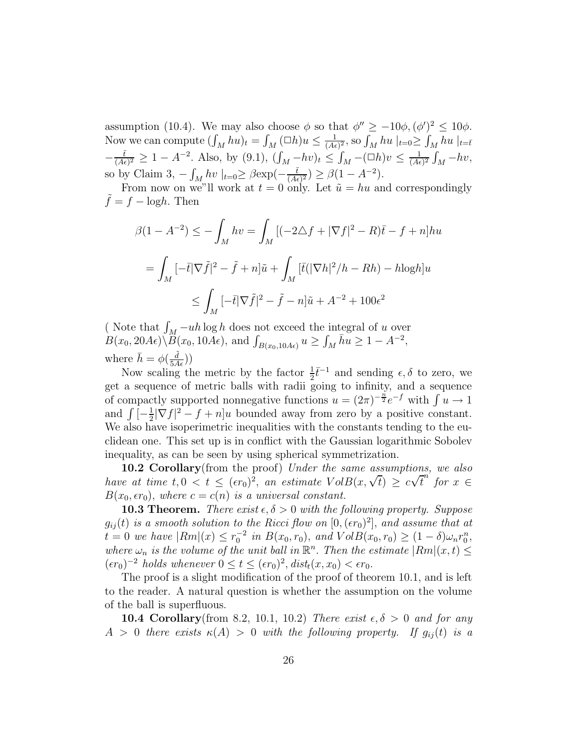assumption (10.4). We may also choose  $\phi$  so that  $\phi'' \ge -10\phi, (\phi')^2 \le 10\phi$ . Now we can compute  $(\int_M hu)_t = \int_M (\Box h)u \leq \frac{1}{A\epsilon}$  $\frac{1}{(A\epsilon)^2}$ , so  $\int_M h u \mid_{t=0} \geq \int_M h u \mid_{t=\bar t}$  $-\frac{\bar{t}}{(A\epsilon)}$  $\frac{\bar{t}}{(A\epsilon)^2} \geq 1 - A^{-2}$ . Also, by (9.1),  $(\int_M -hv)_t \leq \int_M -(\Box h)v \leq \frac{1}{(A\epsilon)^2}$  $\frac{1}{(A\epsilon)^2} \int_M -hv,$ so by Claim 3,  $-\int_M hv \mid_{t=0} \ge \beta \exp(-\frac{\bar{t}}{(A\epsilon)}$  $\frac{t}{(A\epsilon)^2}) \geq \beta(1-A^{-2}).$ 

From now on we"ll work at  $t = 0$  only. Let  $\tilde{u} = hu$  and correspondingly  $f = f - \log h$ . Then

$$
\beta(1 - A^{-2}) \le -\int_M hv = \int_M [(-2\Delta f + |\nabla f|^2 - R)\overline{t} - f + n]hu
$$
  
= 
$$
\int_M [-\overline{t}|\nabla \tilde{f}|^2 - \tilde{f} + n]\tilde{u} + \int_M [\overline{t}(|\nabla h|^2/h - Rh) - h \log h]u
$$
  

$$
\le \int_M [-\overline{t}|\nabla \tilde{f}|^2 - \tilde{f} - n]\tilde{u} + A^{-2} + 100\epsilon^2
$$

(Note that  $\int_M -uh \log h$  does not exceed the integral of u over  $B(x_0, 20A\epsilon)\backslash B(x_0, 10A\epsilon)$ , and  $\int_{B(x_0, 10A\epsilon)} u \ge \int_M \bar{h}u \ge 1 - A^{-2}$ , where  $\bar{h} = \phi(\frac{\tilde{d}}{5A\epsilon})$ )

Now scaling the metric by the factor  $\frac{1}{2}\bar{t}^{-1}$  and sending  $\epsilon, \delta$  to zero, we get a sequence of metric balls with radii going to infinity, and a sequence of compactly supported nonnegative functions  $u = (2\pi)^{-\frac{n}{2}}e^{-f}$  with  $\int u \to 1$ and  $\int \left[-\frac{1}{2}\right]$  $\frac{1}{2}|\nabla f|^2 - f + n|u$  bounded away from zero by a positive constant. We also have isoperimetric inequalities with the constants tending to the euclidean one. This set up is in conflict with the Gaussian logarithmic Sobolev inequality, as can be seen by using spherical symmetrization.

10.2 Corollary(from the proof) Under the same assumptions, we also have at time  $t, 0 < t \leq (\epsilon r_0)^2$ , an estimate  $VolB(x, \sqrt{t}) \geq c\sqrt{t}$  for  $x \in$  $B(x_0, \epsilon r_0)$ , where  $c = c(n)$  is a universal constant.

**10.3 Theorem.** There exist  $\epsilon, \delta > 0$  with the following property. Suppose  $g_{ij}(t)$  is a smooth solution to the Ricci flow on  $[0,(\epsilon r_0)^2]$ , and assume that at  $t = 0$  we have  $|Rm|(x) \le r_0^{-2}$  in  $B(x_0, r_0)$ , and  $VolB(x_0, r_0) \ge (1 - \delta)\omega_n r_0^n$ , where  $\omega_n$  is the volume of the unit ball in  $\mathbb{R}^n$ . Then the estimate  $|Rm|(x,t) \leq$  $(\epsilon r_0)^{-2}$  holds whenever  $0 \le t \le (\epsilon r_0)^2$ ,  $dist_t(x, x_0) < \epsilon r_0$ .

The proof is a slight modification of the proof of theorem 10.1, and is left to the reader. A natural question is whether the assumption on the volume of the ball is superfluous.

**10.4 Corollary**(from 8.2, 10.1, 10.2) There exist  $\epsilon, \delta > 0$  and for any  $A > 0$  there exists  $\kappa(A) > 0$  with the following property. If  $g_{ij}(t)$  is a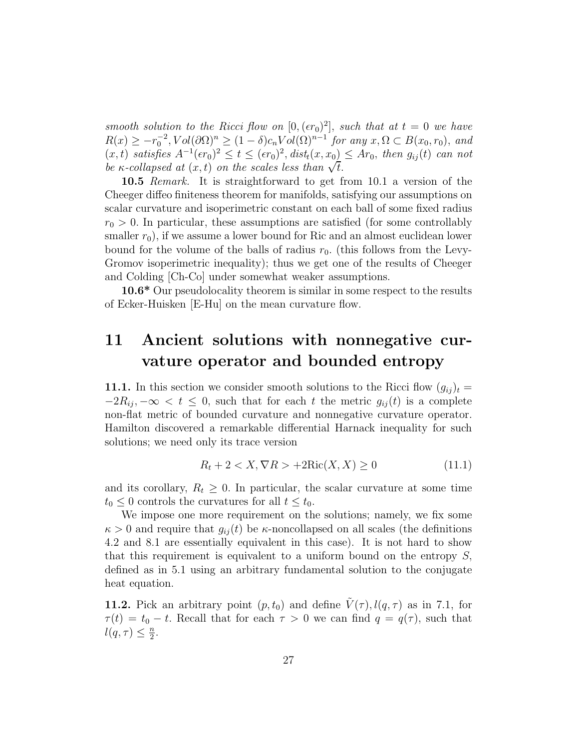smooth solution to the Ricci flow on  $[0, (\epsilon r_0)^2]$ , such that at  $t = 0$  we have  $R(x) \geq -r_0^{-2}$ ,  $Vol(\partial \Omega)^n \geq (1-\delta)c_nVol(\Omega)^{n-1}$  for any  $x, \Omega \subset B(x_0, r_0)$ , and  $(x, t)$  satisfies  $A^{-1}(\epsilon r_0)^2 \le t \le (\epsilon r_0)^2$ ,  $dist_t(x, x_0) \le Ar_0$ , then  $g_{ij}(t)$  can not be  $\kappa$ -collapsed at  $(x, t)$  on the scales less than  $\sqrt{t}$ .

10.5 Remark. It is straightforward to get from 10.1 a version of the Cheeger diffeo finiteness theorem for manifolds, satisfying our assumptions on scalar curvature and isoperimetric constant on each ball of some fixed radius  $r_0 > 0$ . In particular, these assumptions are satisfied (for some controllably smaller  $r_0$ , if we assume a lower bound for Ric and an almost euclidean lower bound for the volume of the balls of radius  $r_0$ . (this follows from the Levy-Gromov isoperimetric inequality); thus we get one of the results of Cheeger and Colding [Ch-Co] under somewhat weaker assumptions.

10.6\* Our pseudolocality theorem is similar in some respect to the results of Ecker-Huisken [E-Hu] on the mean curvature flow.

### 11 Ancient solutions with nonnegative curvature operator and bounded entropy

**11.1.** In this section we consider smooth solutions to the Ricci flow  $(g_{ij})_t =$  $-2R_{ij}$ ,  $-\infty < t \leq 0$ , such that for each t the metric  $g_{ij}(t)$  is a complete non-flat metric of bounded curvature and nonnegative curvature operator. Hamilton discovered a remarkable differential Harnack inequality for such solutions; we need only its trace version

$$
R_t + 2 < X, \nabla R > +2\text{Ric}(X, X) \ge 0\tag{11.1}
$$

and its corollary,  $R_t \geq 0$ . In particular, the scalar curvature at some time  $t_0 \leq 0$  controls the curvatures for all  $t \leq t_0$ .

We impose one more requirement on the solutions; namely, we fix some  $\kappa > 0$  and require that  $g_{ij}(t)$  be  $\kappa$ -noncollapsed on all scales (the definitions 4.2 and 8.1 are essentially equivalent in this case). It is not hard to show that this requirement is equivalent to a uniform bound on the entropy  $S$ , defined as in 5.1 using an arbitrary fundamental solution to the conjugate heat equation.

**11.2.** Pick an arbitrary point  $(p, t_0)$  and define  $\tilde{V}(\tau)$ ,  $l(q, \tau)$  as in 7.1, for  $\tau(t) = t_0 - t$ . Recall that for each  $\tau > 0$  we can find  $q = q(\tau)$ , such that  $l(q,\tau) \leq \frac{n}{2}$  $\frac{n}{2}$ .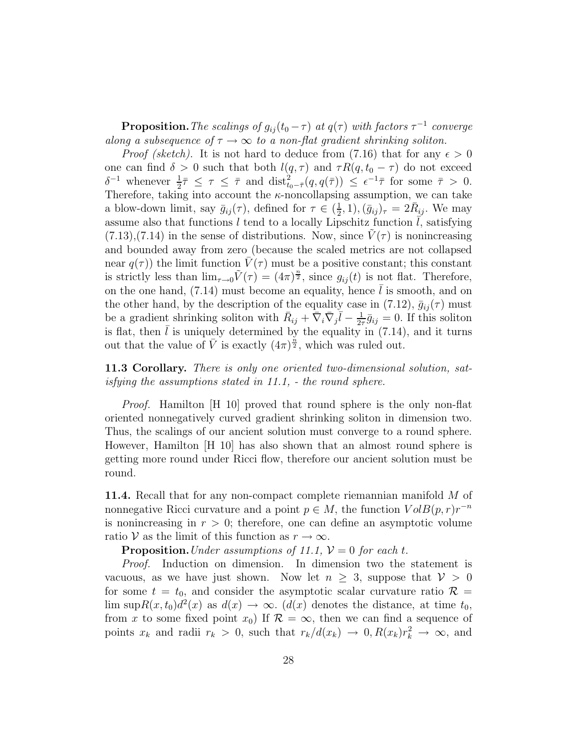**Proposition.** The scalings of  $g_{ij}(t_0 - \tau)$  at  $q(\tau)$  with factors  $\tau^{-1}$  converge along a subsequence of  $\tau \to \infty$  to a non-flat gradient shrinking soliton.

*Proof (sketch)*. It is not hard to deduce from (7.16) that for any  $\epsilon > 0$ one can find  $\delta > 0$  such that both  $l(q, \tau)$  and  $\tau R(q, t_0 - \tau)$  do not exceed  $\delta^{-1}$  whenever  $\frac{1}{2}\bar{\tau} \leq \tau \leq \bar{\tau}$  and  $\text{dist}_{t_0-\bar{\tau}}^2(q,q(\bar{\tau})) \leq \epsilon^{-1}\bar{\tau}$  for some  $\bar{\tau} > 0$ . Therefore, taking into account the  $\kappa$ -noncollapsing assumption, we can take a blow-down limit, say  $\bar{g}_{ij}(\tau)$ , defined for  $\tau \in (\frac{1}{2})$  $(\frac{1}{2}, 1), (\bar{g}_{ij})_{\tau} = 2\bar{R}_{ij}$ . We may assume also that functions  $l$  tend to a locally Lipschitz function  $l$ , satisfying  $(7.13)$ , $(7.14)$  in the sense of distributions. Now, since  $V(\tau)$  is nonincreasing and bounded away from zero (because the scaled metrics are not collapsed near  $q(\tau)$ ) the limit function  $\bar{V}(\tau)$  must be a positive constant; this constant is strictly less than  $\lim_{\tau\to 0} \tilde{V}(\tau) = (4\pi)^{\frac{n}{2}}$ , since  $g_{ij}(t)$  is not flat. Therefore, on the one hand,  $(7.14)$  must become an equality, hence l is smooth, and on the other hand, by the description of the equality case in (7.12),  $\bar{g}_{ij}(\tau)$  must be a gradient shrinking soliton with  $\bar{R}_{ij} + \bar{\nabla}_i \bar{\nabla}_j \bar{l} - \frac{1}{2i}$  $\frac{1}{2\tau}\bar{g}_{ij} = 0$ . If this soliton is flat, then  $l$  is uniquely determined by the equality in  $(7.14)$ , and it turns out that the value of  $\overline{V}$  is exactly  $(4\pi)^{\frac{n}{2}}$ , which was ruled out.

11.3 Corollary. There is only one oriented two-dimensional solution, satisfying the assumptions stated in 11.1, - the round sphere.

Proof. Hamilton [H 10] proved that round sphere is the only non-flat oriented nonnegatively curved gradient shrinking soliton in dimension two. Thus, the scalings of our ancient solution must converge to a round sphere. However, Hamilton [H 10] has also shown that an almost round sphere is getting more round under Ricci flow, therefore our ancient solution must be round.

11.4. Recall that for any non-compact complete riemannian manifold M of nonnegative Ricci curvature and a point  $p \in M$ , the function  $VolB(p,r)r^{-n}$ is nonincreasing in  $r > 0$ ; therefore, one can define an asymptotic volume ratio V as the limit of this function as  $r \to \infty$ .

**Proposition.** Under assumptions of 11.1,  $V = 0$  for each t.

Proof. Induction on dimension. In dimension two the statement is vacuous, as we have just shown. Now let  $n > 3$ , suppose that  $\mathcal{V} > 0$ for some  $t = t_0$ , and consider the asymptotic scalar curvature ratio  $\mathcal{R} =$  $\lim_{x \to a} \sup R(x, t_0) d^2(x)$  as  $d(x) \to \infty$ . (d(x) denotes the distance, at time  $t_0$ , from x to some fixed point  $x_0$ ) If  $\mathcal{R} = \infty$ , then we can find a sequence of points  $x_k$  and radii  $r_k > 0$ , such that  $r_k/d(x_k) \to 0, R(x_k)r_k^2 \to \infty$ , and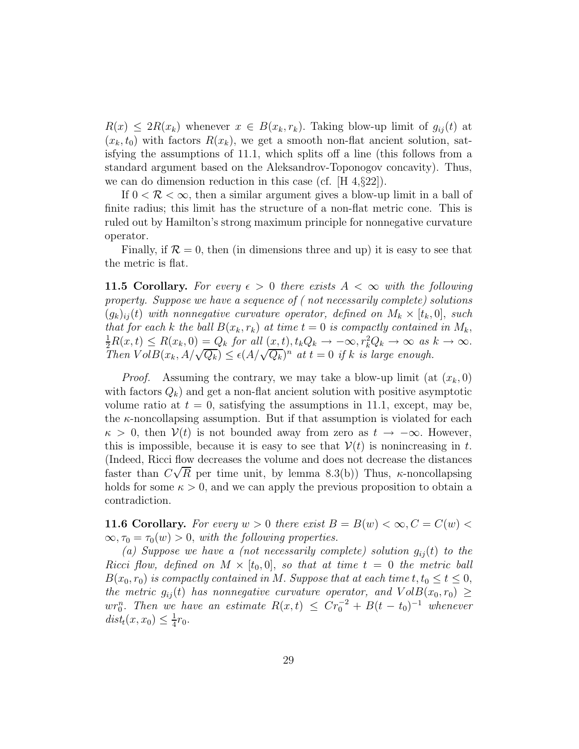$R(x) \leq 2R(x_k)$  whenever  $x \in B(x_k, r_k)$ . Taking blow-up limit of  $g_{ij}(t)$  at  $(x_k, t_0)$  with factors  $R(x_k)$ , we get a smooth non-flat ancient solution, satisfying the assumptions of 11.1, which splits off a line (this follows from a standard argument based on the Aleksandrov-Toponogov concavity). Thus, we can do dimension reduction in this case (cf. [H 4,§22]).

If  $0 < \mathcal{R} < \infty$ , then a similar argument gives a blow-up limit in a ball of finite radius; this limit has the structure of a non-flat metric cone. This is ruled out by Hamilton's strong maximum principle for nonnegative curvature operator.

Finally, if  $\mathcal{R} = 0$ , then (in dimensions three and up) it is easy to see that the metric is flat.

11.5 Corollary. For every  $\epsilon > 0$  there exists  $A < \infty$  with the following property. Suppose we have a sequence of ( not necessarily complete) solutions  $(g_k)_{ii}(t)$  with nonnegative curvature operator, defined on  $M_k \times [t_k, 0]$ , such that for each k the ball  $B(x_k, r_k)$  at time  $t = 0$  is compactly contained in  $M_k$ ,  $\frac{1}{2}R(x,t) \leq R(x_k,0) = Q_k$  for all  $(x,t), t_kQ_k \to -\infty, r_k^2Q_k \to \infty$  as  $k \to \infty$ . Then  $VolB(x_k, A/\sqrt{Q_k}) \leq \epsilon (A/\sqrt{Q_k})^n$  at  $t = 0$  if k is large enough.

*Proof.* Assuming the contrary, we may take a blow-up limit (at  $(x_k, 0)$ ) with factors  $Q_k$ ) and get a non-flat ancient solution with positive asymptotic volume ratio at  $t = 0$ , satisfying the assumptions in 11.1, except, may be, the  $\kappa$ -noncollapsing assumption. But if that assumption is violated for each  $\kappa > 0$ , then  $\mathcal{V}(t)$  is not bounded away from zero as  $t \to -\infty$ . However, this is impossible, because it is easy to see that  $\mathcal{V}(t)$  is nonincreasing in t. (Indeed, Ricci flow decreases the volume and does not decrease the distances faster than  $C\sqrt{R}$  per time unit, by lemma 8.3(b)) Thus,  $\kappa$ -noncollapsing holds for some  $\kappa > 0$ , and we can apply the previous proposition to obtain a contradiction.

**11.6 Corollary.** For every  $w > 0$  there exist  $B = B(w) < \infty, C = C(w) <$  $\infty, \tau_0 = \tau_0(w) > 0$ , with the following properties.

(a) Suppose we have a (not necessarily complete) solution  $g_{ii}(t)$  to the Ricci flow, defined on  $M \times [t_0, 0]$ , so that at time  $t = 0$  the metric ball  $B(x_0, r_0)$  is compactly contained in M. Suppose that at each time  $t, t_0 \le t \le 0$ , the metric  $g_{ij}(t)$  has nonnegative curvature operator, and  $VolB(x_0, r_0) \geq$  $wr_0^n$ . Then we have an estimate  $R(x,t) \leq Cr_0^{-2} + B(t-t_0)^{-1}$  whenever  $dist_t(x, x_0) \leq \frac{1}{4}$  $rac{1}{4}r_0.$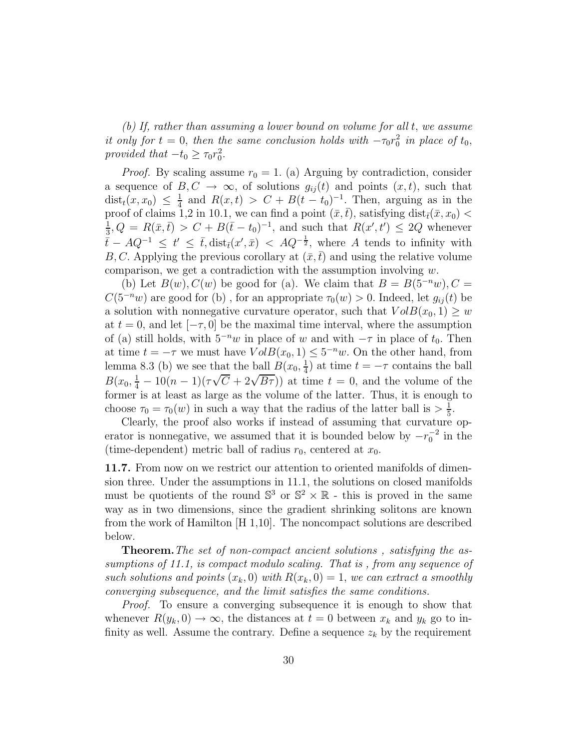(b) If, rather than assuming a lower bound on volume for all t, we assume it only for  $t = 0$ , then the same conclusion holds with  $-\tau_0 r_0^2$  in place of  $t_0$ , provided that  $-t_0 \geq \tau_0 r_0^2$ .

*Proof.* By scaling assume  $r_0 = 1$ . (a) Arguing by contradiction, consider a sequence of  $B, C \rightarrow \infty$ , of solutions  $g_{ij}(t)$  and points  $(x, t)$ , such that  $\text{dist}_t(x, x_0) \leq \frac{1}{4}$  $\frac{1}{4}$  and  $R(x,t) > C + B(t-t_0)^{-1}$ . Then, arguing as in the proof of claims 1,2 in 10.1, we can find a point  $(\bar{x}, \bar{t})$ , satisfying dist $_{\bar{t}}(\bar{x}, x_0)$  < 1  $\frac{1}{3}, Q = R(\bar{x}, \bar{t}) > C + B(\bar{t} - t_0)^{-1}$ , and such that  $R(x', t') \leq 2Q$  whenever  $\frac{a}{t} - AQ^{-1} \leq t' \leq \overline{t}, \text{dist}_{\overline{t}}(x',\overline{x}) < AQ^{-\frac{1}{2}},$  where A tends to infinity with B, C. Applying the previous corollary at  $(\bar{x},\bar{t})$  and using the relative volume comparison, we get a contradiction with the assumption involving  $w$ .

(b) Let  $B(w)$ ,  $C(w)$  be good for (a). We claim that  $B = B(5^{-n}w)$ ,  $C =$  $C(5^{-n}w)$  are good for (b), for an appropriate  $\tau_0(w) > 0$ . Indeed, let  $g_{ij}(t)$  be a solution with nonnegative curvature operator, such that  $VolB(x_0, 1) \geq w$ at  $t = 0$ , and let  $[-\tau, 0]$  be the maximal time interval, where the assumption of (a) still holds, with  $5^{-n}w$  in place of w and with  $-\tau$  in place of  $t_0$ . Then at time  $t = -\tau$  we must have  $VolB(x_0, 1) \leq 5^{-n}w$ . On the other hand, from lemma 8.3 (b) we see that the ball  $B(x_0, \frac{1}{4})$  $(\frac{1}{4})$  at time  $t = -\tau$  contains the ball  $B(x_0, \frac{1}{4} - 10(n-1)(\tau\sqrt{C} + 2\sqrt{B\tau}))$  at time  $t = 0$ , and the volume of the former is at least as large as the volume of the latter. Thus, it is enough to choose  $\tau_0 = \tau_0(w)$  in such a way that the radius of the latter ball is  $> \frac{1}{5}$  $\frac{1}{5}$ .

Clearly, the proof also works if instead of assuming that curvature operator is nonnegative, we assumed that it is bounded below by  $-r_0^{-2}$  in the (time-dependent) metric ball of radius  $r_0$ , centered at  $x_0$ .

11.7. From now on we restrict our attention to oriented manifolds of dimension three. Under the assumptions in 11.1, the solutions on closed manifolds must be quotients of the round  $\mathbb{S}^3$  or  $\mathbb{S}^2 \times \mathbb{R}$  - this is proved in the same way as in two dimensions, since the gradient shrinking solitons are known from the work of Hamilton [H 1,10]. The noncompact solutions are described below.

**Theorem.** The set of non-compact ancient solutions, satisfying the assumptions of 11.1, is compact modulo scaling. That is , from any sequence of such solutions and points  $(x_k, 0)$  with  $R(x_k, 0) = 1$ , we can extract a smoothly converging subsequence, and the limit satisfies the same conditions.

Proof. To ensure a converging subsequence it is enough to show that whenever  $R(y_k, 0) \to \infty$ , the distances at  $t = 0$  between  $x_k$  and  $y_k$  go to infinity as well. Assume the contrary. Define a sequence  $z_k$  by the requirement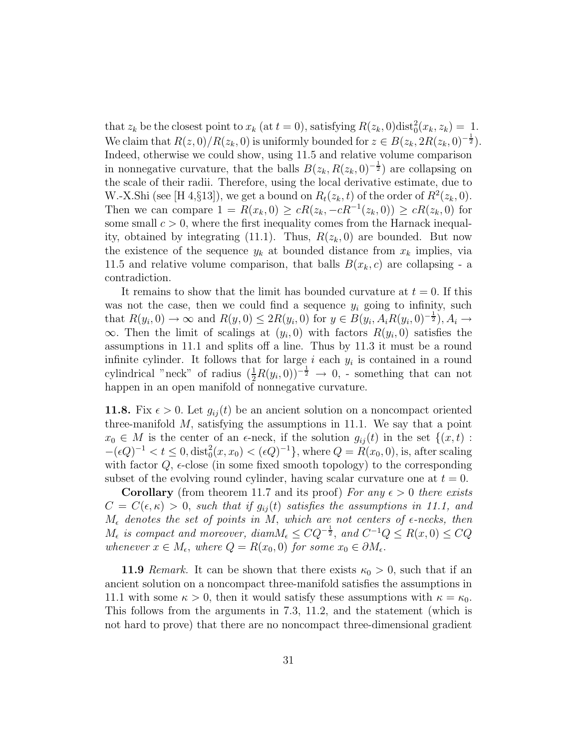that  $z_k$  be the closest point to  $x_k$  (at  $t = 0$ ), satisfying  $R(z_k, 0)$ dist $\frac{2}{0}(x_k, z_k) = 1$ . We claim that  $R(z, 0)/R(z_k, 0)$  is uniformly bounded for  $z \in B(z_k, 2R(z_k, 0)^{-\frac{1}{2}})$ . Indeed, otherwise we could show, using 11.5 and relative volume comparison in nonnegative curvature, that the balls  $B(z_k, R(z_k, 0)^{-\frac{1}{2}})$  are collapsing on the scale of their radii. Therefore, using the local derivative estimate, due to W.-X.Shi (see [H 4,§13]), we get a bound on  $R_t(z_k, t)$  of the order of  $R^2(z_k, 0)$ . Then we can compare  $1 = R(x_k, 0) \ge cR(z_k, -cR^{-1}(z_k, 0)) \ge cR(z_k, 0)$  for some small  $c > 0$ , where the first inequality comes from the Harnack inequality, obtained by integrating (11.1). Thus,  $R(z_k, 0)$  are bounded. But now the existence of the sequence  $y_k$  at bounded distance from  $x_k$  implies, via 11.5 and relative volume comparison, that balls  $B(x_k, c)$  are collapsing - a contradiction.

It remains to show that the limit has bounded curvature at  $t = 0$ . If this was not the case, then we could find a sequence  $y_i$  going to infinity, such that  $R(y_i, 0) \to \infty$  and  $R(y, 0) \leq 2R(y_i, 0)$  for  $y \in B(y_i, A_i R(y_i, 0)^{-\frac{1}{2}})$ ,  $A_i \to$  $\infty$ . Then the limit of scalings at  $(y_i, 0)$  with factors  $R(y_i, 0)$  satisfies the assumptions in 11.1 and splits off a line. Thus by 11.3 it must be a round infinite cylinder. It follows that for large  $i$  each  $y_i$  is contained in a round cylindrical "neck" of radius  $(\frac{1}{2}R(y_i, 0))^{-\frac{1}{2}} \to 0$ , - something that can not happen in an open manifold of nonnegative curvature.

**11.8.** Fix  $\epsilon > 0$ . Let  $g_{ij}(t)$  be an ancient solution on a noncompact oriented three-manifold  $M$ , satisfying the assumptions in 11.1. We say that a point  $x_0 \in M$  is the center of an  $\epsilon$ -neck, if the solution  $g_{ij}(t)$  in the set  $\{(x, t) :$  $-(\epsilon Q)^{-1} < t \leq 0$ ,  $dist_0^2(x, x_0) < (\epsilon Q)^{-1}$ , where  $Q = R(x_0, 0)$ , is, after scaling with factor  $Q$ ,  $\epsilon$ -close (in some fixed smooth topology) to the corresponding subset of the evolving round cylinder, having scalar curvature one at  $t = 0$ .

**Corollary** (from theorem 11.7 and its proof) For any  $\epsilon > 0$  there exists  $C = C(\epsilon, \kappa) > 0$ , such that if  $g_{ii}(t)$  satisfies the assumptions in 11.1, and  $M_{\epsilon}$  denotes the set of points in M, which are not centers of  $\epsilon$ -necks, then  $M_{\epsilon}$  is compact and moreover, diam $M_{\epsilon} \leq C Q^{-\frac{1}{2}}$ , and  $C^{-1} Q \leq R(x,0) \leq C Q$ whenever  $x \in M_{\epsilon}$ , where  $Q = R(x_0, 0)$  for some  $x_0 \in \partial M_{\epsilon}$ .

**11.9** Remark. It can be shown that there exists  $\kappa_0 > 0$ , such that if an ancient solution on a noncompact three-manifold satisfies the assumptions in 11.1 with some  $\kappa > 0$ , then it would satisfy these assumptions with  $\kappa = \kappa_0$ . This follows from the arguments in 7.3, 11.2, and the statement (which is not hard to prove) that there are no noncompact three-dimensional gradient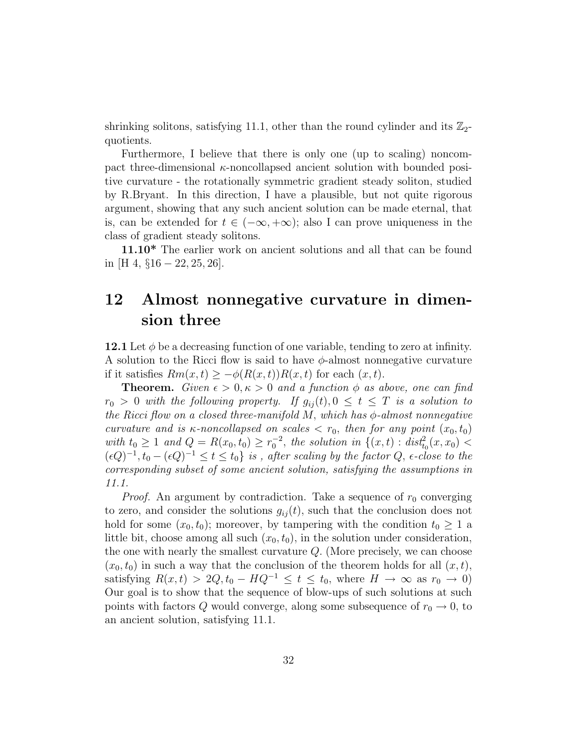shrinking solitons, satisfying 11.1, other than the round cylinder and its  $\mathbb{Z}_2$ quotients.

Furthermore, I believe that there is only one (up to scaling) noncompact three-dimensional  $\kappa$ -noncollapsed ancient solution with bounded positive curvature - the rotationally symmetric gradient steady soliton, studied by R.Bryant. In this direction, I have a plausible, but not quite rigorous argument, showing that any such ancient solution can be made eternal, that is, can be extended for  $t \in (-\infty, +\infty)$ ; also I can prove uniqueness in the class of gradient steady solitons.

11.10\* The earlier work on ancient solutions and all that can be found in [H 4,  $\S 16 - 22$ , 25, 26].

### 12 Almost nonnegative curvature in dimension three

12.1 Let  $\phi$  be a decreasing function of one variable, tending to zero at infinity. A solution to the Ricci flow is said to have  $\phi$ -almost nonnegative curvature if it satisfies  $Rm(x,t) \geq -\phi(R(x,t))R(x,t)$  for each  $(x,t)$ .

**Theorem.** Given  $\epsilon > 0, \kappa > 0$  and a function  $\phi$  as above, one can find  $r_0 > 0$  with the following property. If  $g_{ij}(t)$ ,  $0 \le t \le T$  is a solution to the Ricci flow on a closed three-manifold M, which has  $\phi$ -almost nonnegative curvature and is  $\kappa$ -noncollapsed on scales  $\langle r_0, t_0 \rangle$  then for any point  $(x_0, t_0)$ with  $t_0 \ge 1$  and  $Q = R(x_0, t_0) \ge r_0^{-2}$ , the solution in  $\{(x, t) : dist_{t_0}^2(x, x_0) <$  $(\epsilon Q)^{-1}, t_0 - (\epsilon Q)^{-1} \le t \le t_0$  is, after scaling by the factor Q,  $\epsilon$ -close to the corresponding subset of some ancient solution, satisfying the assumptions in 11.1.

*Proof.* An argument by contradiction. Take a sequence of  $r_0$  converging to zero, and consider the solutions  $g_{ij}(t)$ , such that the conclusion does not hold for some  $(x_0, t_0)$ ; moreover, by tampering with the condition  $t_0 \geq 1$  a little bit, choose among all such  $(x_0, t_0)$ , in the solution under consideration, the one with nearly the smallest curvature  $Q$ . (More precisely, we can choose  $(x_0, t_0)$  in such a way that the conclusion of the theorem holds for all  $(x, t)$ , satisfying  $R(x,t) > 2Q, t_0 - HQ^{-1} \le t \le t_0$ , where  $H \to \infty$  as  $r_0 \to 0$ ) Our goal is to show that the sequence of blow-ups of such solutions at such points with factors Q would converge, along some subsequence of  $r_0 \rightarrow 0$ , to an ancient solution, satisfying 11.1.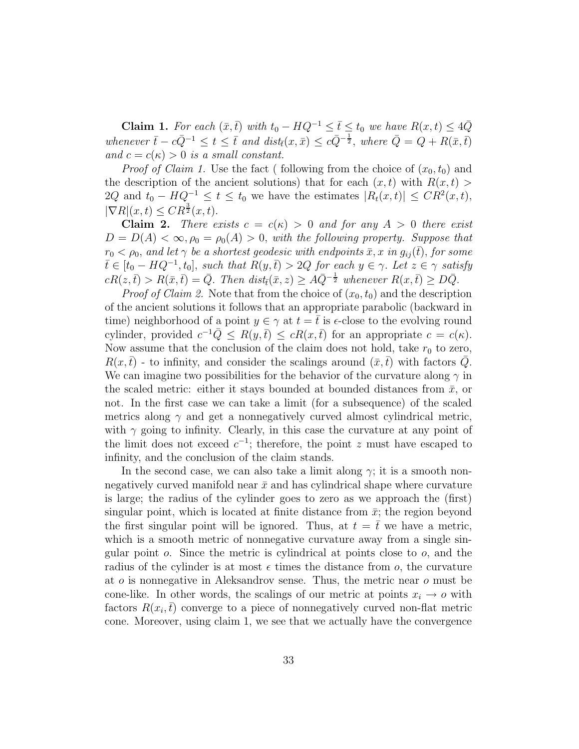Claim 1. For each  $(\bar{x},\bar{t})$  with  $t_0 - HQ^{-1} \leq \bar{t} \leq t_0$  we have  $R(x,t) \leq 4\bar{Q}$ whenever  $\bar{t} - c\bar{Q}^{-1} \le t \le \bar{t}$  and  $dist_{\bar{t}}(x,\bar{x}) \le c\bar{Q}^{-\frac{1}{2}}$ , where  $\bar{Q} = Q + R(\bar{x},\bar{t})$ and  $c = c(\kappa) > 0$  is a small constant.

*Proof of Claim 1.* Use the fact ( following from the choice of  $(x_0, t_0)$  and the description of the ancient solutions) that for each  $(x, t)$  with  $R(x, t)$ 2Q and  $t_0 - HQ^{-1} \le t \le t_0$  we have the estimates  $|R_t(x,t)| \le CR^2(x,t)$ ,  $|\nabla R|(x,t) \leq C R^{\frac{3}{2}}(x,t).$ 

**Claim 2.** There exists  $c = c(\kappa) > 0$  and for any  $A > 0$  there exist  $D = D(A) < \infty, \rho_0 = \rho_0(A) > 0$ , with the following property. Suppose that  $r_0 < \rho_0$ , and let  $\gamma$  be a shortest geodesic with endpoints  $\bar{x}, x$  in  $g_{ij}(\bar{t})$ , for some  $\overline{t} \in [t_0 - HQ^{-1}, t_0],$  such that  $R(y, \overline{t}) > 2Q$  for each  $y \in \gamma$ . Let  $z \in \gamma$  satisfy  $cR(z,\bar{t}) > R(\bar{x},\bar{t}) = \bar{Q}$ . Then  $dist_{\bar{t}}(\bar{x},z) \geq A\bar{Q}^{-\frac{1}{2}}$  whenever  $R(x,\bar{t}) \geq D\bar{Q}$ .

*Proof of Claim 2.* Note that from the choice of  $(x_0, t_0)$  and the description of the ancient solutions it follows that an appropriate parabolic (backward in time) neighborhood of a point  $y \in \gamma$  at  $t = \overline{t}$  is  $\epsilon$ -close to the evolving round cylinder, provided  $c^{-1}\overline{Q} \le R(y,\overline{t}) \le cR(x,\overline{t})$  for an appropriate  $c = c(\kappa)$ . Now assume that the conclusion of the claim does not hold, take  $r_0$  to zero,  $R(x,\bar{t})$  - to infinity, and consider the scalings around  $(\bar{x},\bar{t})$  with factors Q. We can imagine two possibilities for the behavior of the curvature along  $\gamma$  in the scaled metric: either it stays bounded at bounded distances from  $\bar{x}$ , or not. In the first case we can take a limit (for a subsequence) of the scaled metrics along  $\gamma$  and get a nonnegatively curved almost cylindrical metric, with  $\gamma$  going to infinity. Clearly, in this case the curvature at any point of the limit does not exceed  $c^{-1}$ ; therefore, the point z must have escaped to infinity, and the conclusion of the claim stands.

In the second case, we can also take a limit along  $\gamma$ ; it is a smooth nonnegatively curved manifold near  $\bar{x}$  and has cylindrical shape where curvature is large; the radius of the cylinder goes to zero as we approach the (first) singular point, which is located at finite distance from  $\bar{x}$ ; the region beyond the first singular point will be ignored. Thus, at  $t = \bar{t}$  we have a metric, which is a smooth metric of nonnegative curvature away from a single singular point  $o$ . Since the metric is cylindrical at points close to  $o$ , and the radius of the cylinder is at most  $\epsilon$  times the distance from  $o$ , the curvature at o is nonnegative in Aleksandrov sense. Thus, the metric near o must be cone-like. In other words, the scalings of our metric at points  $x_i \to o$  with factors  $R(x_i, \bar{t})$  converge to a piece of nonnegatively curved non-flat metric cone. Moreover, using claim 1, we see that we actually have the convergence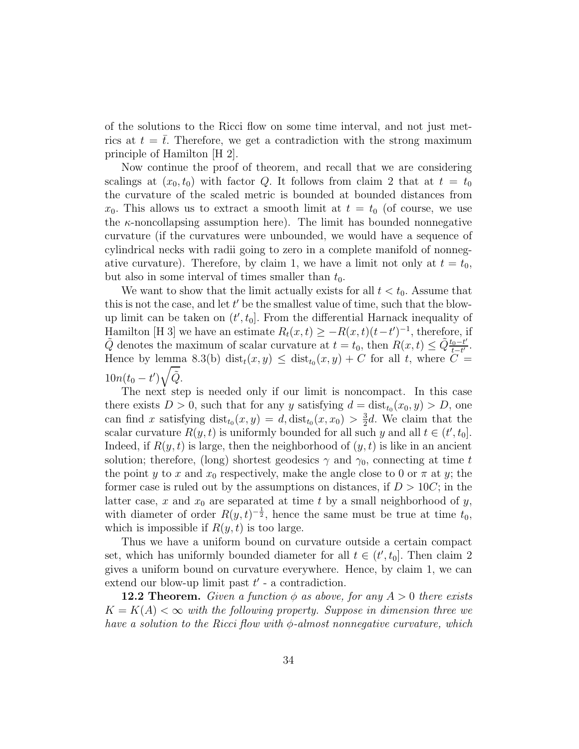of the solutions to the Ricci flow on some time interval, and not just metrics at  $t = \overline{t}$ . Therefore, we get a contradiction with the strong maximum principle of Hamilton [H 2].

Now continue the proof of theorem, and recall that we are considering scalings at  $(x_0, t_0)$  with factor Q. It follows from claim 2 that at  $t = t_0$ the curvature of the scaled metric is bounded at bounded distances from  $x_0$ . This allows us to extract a smooth limit at  $t = t_0$  (of course, we use the  $\kappa$ -noncollapsing assumption here). The limit has bounded nonnegative curvature (if the curvatures were unbounded, we would have a sequence of cylindrical necks with radii going to zero in a complete manifold of nonnegative curvature). Therefore, by claim 1, we have a limit not only at  $t = t_0$ , but also in some interval of times smaller than  $t_0$ .

We want to show that the limit actually exists for all  $t < t_0$ . Assume that this is not the case, and let  $t'$  be the smallest value of time, such that the blowup limit can be taken on  $(t', t_0]$ . From the differential Harnack inequality of Hamilton [H 3] we have an estimate  $R_t(x,t) \geq -R(x,t)(t-t')^{-1}$ , therefore, if  $\tilde{Q}$  denotes the maximum of scalar curvature at  $t = t_0$ , then  $R(x, t) \leq \tilde{Q} \frac{t_0 - t'}{t - t'}$  $\frac{t_0-t'}{t-t'}$  . Hence by lemma 8.3(b) dist<sub>t</sub> $(x, y) \leq$  dist<sub>t<sub>0</sub></sub> $(x, y) + C$  for all t, where  $C =$  $10n(t_0-t')\sqrt{\tilde{Q}}.$ 

The next step is needed only if our limit is noncompact. In this case there exists  $D > 0$ , such that for any y satisfying  $d = \text{dist}_{t_0}(x_0, y) > D$ , one can find x satisfying  $dist_{t_0}(x, y) = d$ ,  $dist_{t_0}(x, x_0) > \frac{3}{2}$  $\frac{3}{2}d$ . We claim that the scalar curvature  $R(y, t)$  is uniformly bounded for all such y and all  $t \in (t', t_0]$ . Indeed, if  $R(y, t)$  is large, then the neighborhood of  $(y, t)$  is like in an ancient solution; therefore, (long) shortest geodesics  $\gamma$  and  $\gamma_0$ , connecting at time t the point y to x and  $x_0$  respectively, make the angle close to 0 or  $\pi$  at y; the former case is ruled out by the assumptions on distances, if  $D > 10C$ ; in the latter case, x and  $x_0$  are separated at time t by a small neighborhood of y, with diameter of order  $R(y,t)^{-\frac{1}{2}}$ , hence the same must be true at time  $t_0$ , which is impossible if  $R(y, t)$  is too large.

Thus we have a uniform bound on curvature outside a certain compact set, which has uniformly bounded diameter for all  $t \in (t', t_0]$ . Then claim 2 gives a uniform bound on curvature everywhere. Hence, by claim 1, we can extend our blow-up limit past  $t'$  - a contradiction.

**12.2 Theorem.** Given a function  $\phi$  as above, for any  $A > 0$  there exists  $K = K(A) < \infty$  with the following property. Suppose in dimension three we have a solution to the Ricci flow with  $\phi$ -almost nonnegative curvature, which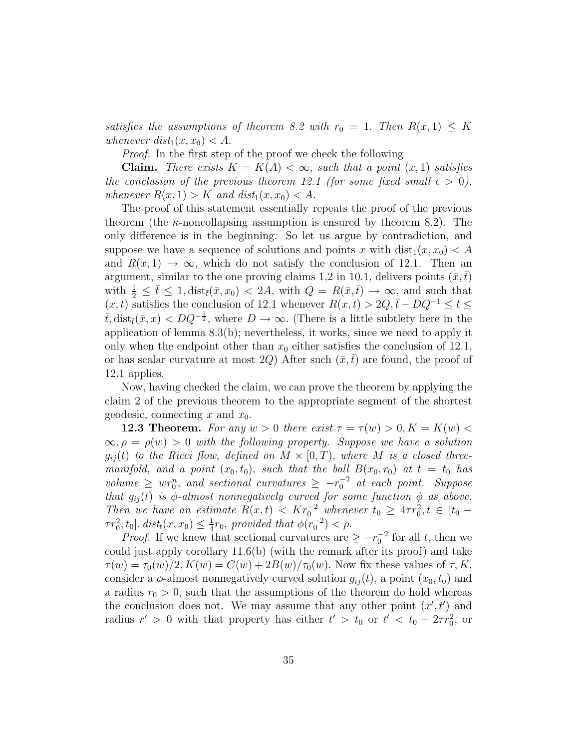satisfies the assumptions of theorem 8.2 with  $r_0 = 1$ . Then  $R(x, 1) \leq K$ whenever  $dist_1(x, x_0) < A$ .

Proof. In the first step of the proof we check the following

**Claim.** There exists  $K = K(A) < \infty$ , such that a point  $(x, 1)$  satisfies the conclusion of the previous theorem 12.1 (for some fixed small  $\epsilon > 0$ ), whenever  $R(x, 1) > K$  and  $dist_1(x, x_0) < A$ .

The proof of this statement essentially repeats the proof of the previous theorem (the  $\kappa$ -noncollapsing assumption is ensured by theorem 8.2). The only difference is in the beginning. So let us argue by contradiction, and suppose we have a sequence of solutions and points x with  $dist_1(x, x_0) < A$ and  $R(x, 1) \rightarrow \infty$ , which do not satisfy the conclusion of 12.1. Then an argument, similar to the one proving claims 1,2 in 10.1, delivers points  $(\bar{x},\bar{t})$ with  $\frac{1}{2} \leq \overline{t} \leq 1$ ,  $dist_{\overline{t}}(\overline{x}, x_0) < 2A$ , with  $Q = R(\overline{x}, \overline{t}) \to \infty$ , and such that  $(x, t)$  satisfies the conclusion of 12.1 whenever  $R(x, t) > 2Q, \bar{t} - DQ^{-1} \leq t \leq$  $\overline{t}$ , dist<sub> $\overline{t}(\overline{x},x) < DQ^{-\frac{1}{2}}$ , where  $D \to \infty$ . (There is a little subtlety here in the</sub> application of lemma 8.3(b); nevertheless, it works, since we need to apply it only when the endpoint other than  $x_0$  either satisfies the conclusion of 12.1, or has scalar curvature at most  $2Q$ ) After such  $(\bar{x},\bar{t})$  are found, the proof of 12.1 applies.

Now, having checked the claim, we can prove the theorem by applying the claim 2 of the previous theorem to the appropriate segment of the shortest geodesic, connecting x and  $x_0$ .

**12.3 Theorem.** For any  $w > 0$  there exist  $\tau = \tau(w) > 0, K = K(w) <$  $\infty, \rho = \rho(w) > 0$  with the following property. Suppose we have a solution  $g_{ii}(t)$  to the Ricci flow, defined on  $M \times [0,T)$ , where M is a closed threemanifold, and a point  $(x_0, t_0)$ , such that the ball  $B(x_0, r_0)$  at  $t = t_0$  has volume  $\geq \omega r_0^n$ , and sectional curvatures  $\geq -r_0^{-2}$  at each point. Suppose that  $g_{ij}(t)$  is  $\phi$ -almost nonnegatively curved for some function  $\phi$  as above. Then we have an estimate  $R(x,t) < K r_0^{-2}$  whenever  $t_0 \geq 4 \tau r_0^2, t \in [t_0 \tau r_0^2, t_0$ ,  $dist_t(x, x_0) \leq \frac{1}{4}$  $\frac{1}{4}r_0$ , provided that  $\phi(r_0^{-2}) < \rho$ .

*Proof.* If we knew that sectional curvatures are  $\geq -r_0^{-2}$  for all t, then we could just apply corollary 11.6(b) (with the remark after its proof) and take  $\tau(w) = \tau_0(w)/2, K(w) = C(w) + 2B(w)/\tau_0(w)$ . Now fix these values of  $\tau, K$ , consider a  $\phi$ -almost nonnegatively curved solution  $g_{ij}(t)$ , a point  $(x_0, t_0)$  and a radius  $r_0 > 0$ , such that the assumptions of the theorem do hold whereas the conclusion does not. We may assume that any other point  $(x', t')$  and radius  $r' > 0$  with that property has either  $t' > t_0$  or  $t' < t_0 - 2\tau r_0^2$ , or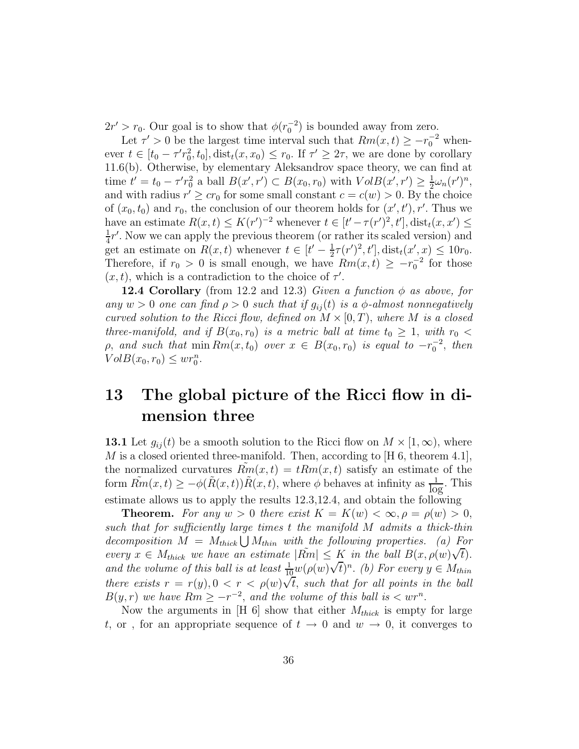$2r' > r_0$ . Our goal is to show that  $\phi(r_0^{-2})$  is bounded away from zero.

Let  $\tau' > 0$  be the largest time interval such that  $Rm(x, t) \ge -r_0^{-2}$  whenever  $t \in [t_0 - \tau' r_0^2, t_0]$ ,  $dist_t(x, x_0) \leq r_0$ . If  $\tau' \geq 2\tau$ , we are done by corollary 11.6(b). Otherwise, by elementary Aleksandrov space theory, we can find at time  $t' = t_0 - \tau' r_0^2$  a ball  $B(x', r') \subset B(x_0, r_0)$  with  $VolB(x', r') \geq \frac{1}{2}$  $\frac{1}{2}\omega_n(r')^n,$ and with radius  $r' \geq c r_0$  for some small constant  $c = c(w) > 0$ . By the choice of  $(x_0, t_0)$  and  $r_0$ , the conclusion of our theorem holds for  $(x', t'), r'$ . Thus we have an estimate  $R(x,t) \leq K(r')^{-2}$  whenever  $t \in [t'-\tau(r')^2, t']$ ,  $dist_t(x, x') \leq$ 1  $\frac{1}{4}r'$ . Now we can apply the previous theorem (or rather its scaled version) and get an estimate on  $R(x,t)$  whenever  $t \in [t'-\frac{1}{2}]$  $\frac{1}{2}\tau(r')^2, t'$ , dist<sub>t</sub> $(x', x) \leq 10r_0$ . Therefore, if  $r_0 > 0$  is small enough, we have  $Rm(x,t) \geq -r_0^{-2}$  for those  $(x, t)$ , which is a contradiction to the choice of  $\tau'$ .

**12.4 Corollary** (from 12.2 and 12.3) Given a function  $\phi$  as above, for any  $w > 0$  one can find  $\rho > 0$  such that if  $g_{ij}(t)$  is a  $\phi$ -almost nonnegatively curved solution to the Ricci flow, defined on  $M \times [0, T)$ , where M is a closed three-manifold, and if  $B(x_0, r_0)$  is a metric ball at time  $t_0 \geq 1$ , with  $r_0 <$  $\rho$ , and such that  $\min Rm(x,t_0)$  over  $x \in B(x_0,r_0)$  is equal to  $-r_0^{-2}$ , then  $VolB(x_0, r_0) \leq wr_0^n$ .

# 13 The global picture of the Ricci flow in dimension three

**13.1** Let  $g_{ij}(t)$  be a smooth solution to the Ricci flow on  $M \times [1,\infty)$ , where M is a closed oriented three-manifold. Then, according to  $(H 6,$  theorem 4.1, the normalized curvatures  $Rm(x, t) = tRm(x, t)$  satisfy an estimate of the form  $\tilde{Rm}(x,t) \ge -\phi(\tilde{R}(x,t))\tilde{R}(x,t)$ , where  $\phi$  behaves at infinity as  $\frac{1}{\log}$ . This estimate allows us to apply the results 12.3,12.4, and obtain the following

**Theorem.** For any  $w > 0$  there exist  $K = K(w) < \infty, \rho = \rho(w) > 0$ , such that for sufficiently large times t the manifold M admits a thick-thin decomposition  $M = M_{thick} \bigcup M_{thin}$  with the following properties. (a) For every  $x \in M_{thick}$  we have an estimate  $|\tilde{Rm}| \leq K$  in the ball  $B(x, \rho(w)\sqrt{t})$ . and the volume of this ball is at least  $\frac{1}{10}w(\rho(w)\sqrt{t})^n$ . (b) For every  $y \in M_{thin}$ there exists  $r = r(y), 0 < r < \rho(w) \sqrt{t}$ , such that for all points in the ball  $B(y,r)$  we have  $Rm \geq -r^{-2}$ , and the volume of this ball is  $\langle w r^n \rangle$ .

Now the arguments in [H 6] show that either  $M_{thick}$  is empty for large t, or, for an appropriate sequence of  $t \to 0$  and  $w \to 0$ , it converges to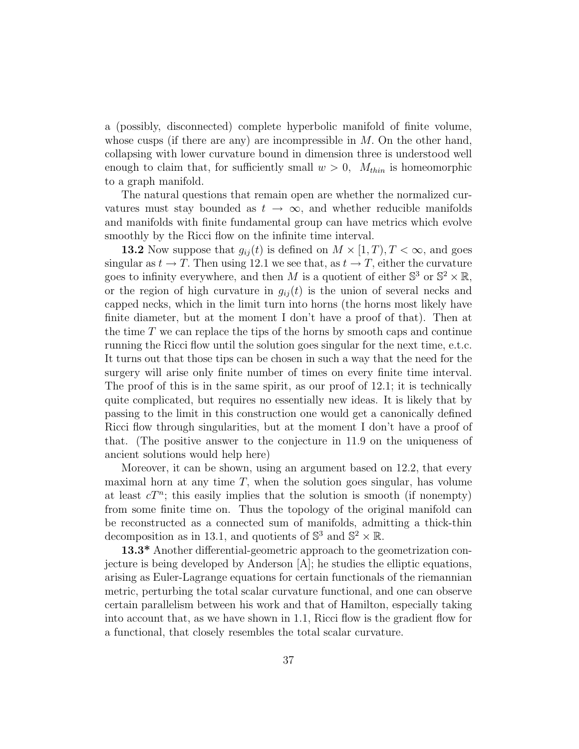a (possibly, disconnected) complete hyperbolic manifold of finite volume, whose cusps (if there are any) are incompressible in  $M$ . On the other hand, collapsing with lower curvature bound in dimension three is understood well enough to claim that, for sufficiently small  $w > 0$ ,  $M_{thin}$  is homeomorphic to a graph manifold.

The natural questions that remain open are whether the normalized curvatures must stay bounded as  $t \to \infty$ , and whether reducible manifolds and manifolds with finite fundamental group can have metrics which evolve smoothly by the Ricci flow on the infinite time interval.

**13.2** Now suppose that  $q_{ij}(t)$  is defined on  $M \times [1, T), T < \infty$ , and goes singular as  $t \to T$ . Then using 12.1 we see that, as  $t \to T$ , either the curvature goes to infinity everywhere, and then M is a quotient of either  $\mathbb{S}^3$  or  $\mathbb{S}^2 \times \mathbb{R}$ , or the region of high curvature in  $g_{ij}(t)$  is the union of several necks and capped necks, which in the limit turn into horns (the horns most likely have finite diameter, but at the moment I don't have a proof of that). Then at the time  $T$  we can replace the tips of the horns by smooth caps and continue running the Ricci flow until the solution goes singular for the next time, e.t.c. It turns out that those tips can be chosen in such a way that the need for the surgery will arise only finite number of times on every finite time interval. The proof of this is in the same spirit, as our proof of 12.1; it is technically quite complicated, but requires no essentially new ideas. It is likely that by passing to the limit in this construction one would get a canonically defined Ricci flow through singularities, but at the moment I don't have a proof of that. (The positive answer to the conjecture in 11.9 on the uniqueness of ancient solutions would help here)

Moreover, it can be shown, using an argument based on 12.2, that every maximal horn at any time  $T$ , when the solution goes singular, has volume at least  $cT^n$ ; this easily implies that the solution is smooth (if nonempty) from some finite time on. Thus the topology of the original manifold can be reconstructed as a connected sum of manifolds, admitting a thick-thin decomposition as in 13.1, and quotients of  $\mathbb{S}^3$  and  $\mathbb{S}^2 \times \mathbb{R}$ .

13.3\* Another differential-geometric approach to the geometrization conjecture is being developed by Anderson [A]; he studies the elliptic equations, arising as Euler-Lagrange equations for certain functionals of the riemannian metric, perturbing the total scalar curvature functional, and one can observe certain parallelism between his work and that of Hamilton, especially taking into account that, as we have shown in 1.1, Ricci flow is the gradient flow for a functional, that closely resembles the total scalar curvature.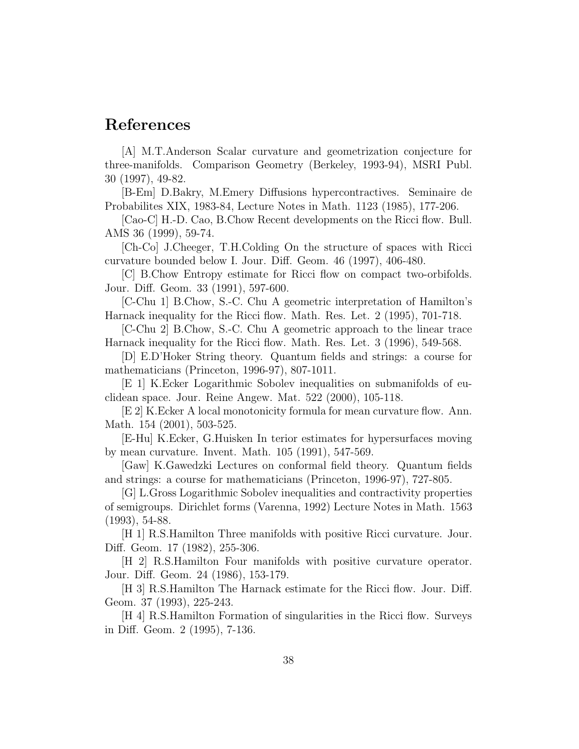#### References

[A] M.T.Anderson Scalar curvature and geometrization conjecture for three-manifolds. Comparison Geometry (Berkeley, 1993-94), MSRI Publ. 30 (1997), 49-82.

[B-Em] D.Bakry, M.Emery Diffusions hypercontractives. Seminaire de Probabilites XIX, 1983-84, Lecture Notes in Math. 1123 (1985), 177-206.

[Cao-C] H.-D. Cao, B.Chow Recent developments on the Ricci flow. Bull. AMS 36 (1999), 59-74.

[Ch-Co] J.Cheeger, T.H.Colding On the structure of spaces with Ricci curvature bounded below I. Jour. Diff. Geom. 46 (1997), 406-480.

[C] B.Chow Entropy estimate for Ricci flow on compact two-orbifolds. Jour. Diff. Geom. 33 (1991), 597-600.

[C-Chu 1] B.Chow, S.-C. Chu A geometric interpretation of Hamilton's Harnack inequality for the Ricci flow. Math. Res. Let. 2 (1995), 701-718.

[C-Chu 2] B.Chow, S.-C. Chu A geometric approach to the linear trace Harnack inequality for the Ricci flow. Math. Res. Let. 3 (1996), 549-568.

[D] E.D'Hoker String theory. Quantum fields and strings: a course for mathematicians (Princeton, 1996-97), 807-1011.

[E 1] K.Ecker Logarithmic Sobolev inequalities on submanifolds of euclidean space. Jour. Reine Angew. Mat. 522 (2000), 105-118.

[E 2] K.Ecker A local monotonicity formula for mean curvature flow. Ann. Math. 154 (2001), 503-525.

[E-Hu] K.Ecker, G.Huisken In terior estimates for hypersurfaces moving by mean curvature. Invent. Math. 105 (1991), 547-569.

[Gaw] K.Gawedzki Lectures on conformal field theory. Quantum fields and strings: a course for mathematicians (Princeton, 1996-97), 727-805.

[G] L.Gross Logarithmic Sobolev inequalities and contractivity properties of semigroups. Dirichlet forms (Varenna, 1992) Lecture Notes in Math. 1563 (1993), 54-88.

[H 1] R.S.Hamilton Three manifolds with positive Ricci curvature. Jour. Diff. Geom. 17 (1982), 255-306.

[H 2] R.S.Hamilton Four manifolds with positive curvature operator. Jour. Diff. Geom. 24 (1986), 153-179.

[H 3] R.S.Hamilton The Harnack estimate for the Ricci flow. Jour. Diff. Geom. 37 (1993), 225-243.

[H 4] R.S.Hamilton Formation of singularities in the Ricci flow. Surveys in Diff. Geom. 2 (1995), 7-136.